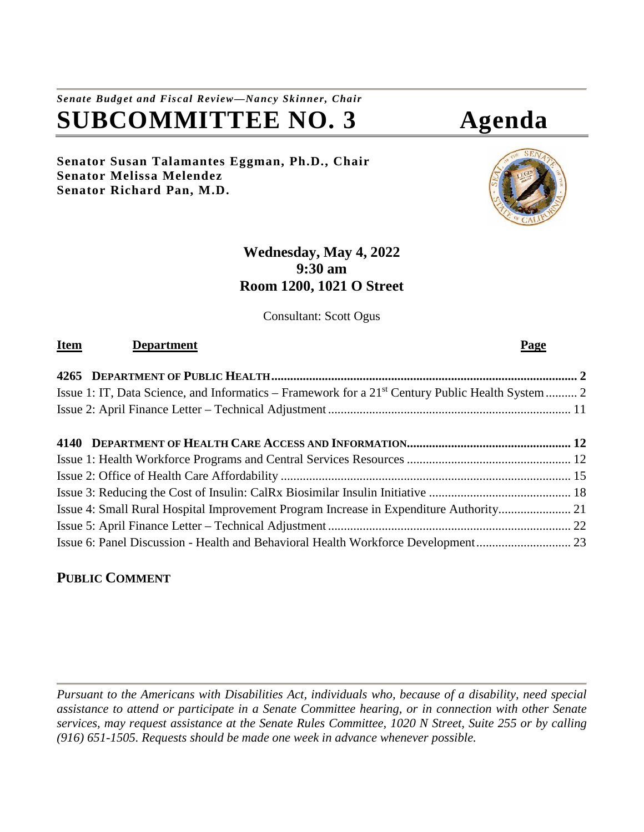# *Senate Budget and Fiscal Review—Nancy Skinner, Chair* **SUBCOMMITTEE NO. 3 Agenda**

**Senator Susan Talamantes Eggman, Ph.D., Chair Senator Melissa Melendez Senator Richard Pan, M.D.**

# **Wednesday, May 4, 2022 9:30 am Room 1200, 1021 O Street**

Consultant: Scott Ogus

## **Item Department Page**

| Issue 1: IT, Data Science, and Informatics – Framework for a 21 <sup>st</sup> Century Public Health System  2 |  |
|---------------------------------------------------------------------------------------------------------------|--|
|                                                                                                               |  |
|                                                                                                               |  |
|                                                                                                               |  |
|                                                                                                               |  |
|                                                                                                               |  |
|                                                                                                               |  |
|                                                                                                               |  |

Issue 6: Panel Discussion - [Health and Behavioral Health Workforce Development..............................](#page-22-0) 23

# **PUBLIC COMMENT**

*Pursuant to the Americans with Disabilities Act, individuals who, because of a disability, need special assistance to attend or participate in a Senate Committee hearing, or in connection with other Senate services, may request assistance at the Senate Rules Committee, 1020 N Street, Suite 255 or by calling (916) 651-1505. Requests should be made one week in advance whenever possible.*



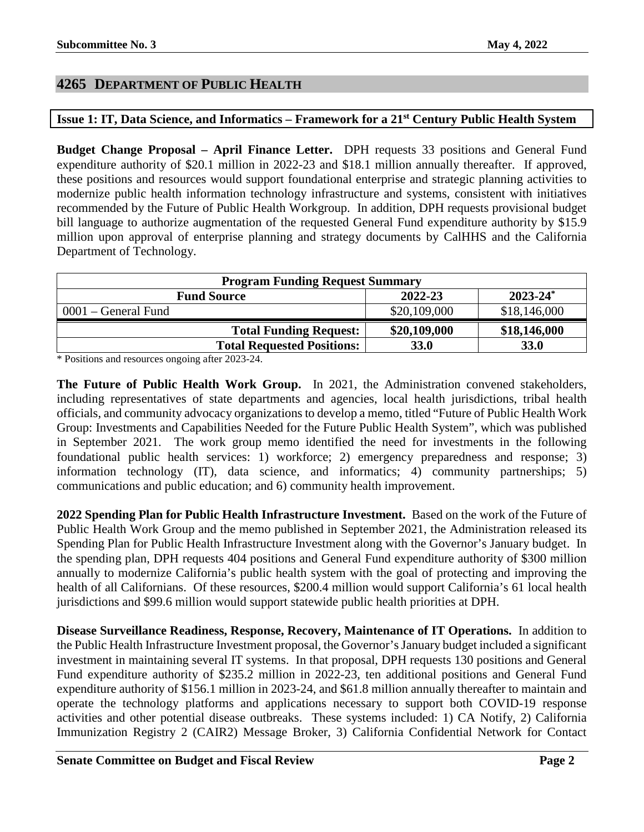### <span id="page-1-0"></span>**4265 DEPARTMENT OF PUBLIC HEALTH**

# <span id="page-1-1"></span>**Issue 1: IT, Data Science, and Informatics – Framework for a 21st Century Public Health System**

**Budget Change Proposal – April Finance Letter.** DPH requests 33 positions and General Fund expenditure authority of \$20.1 million in 2022-23 and \$18.1 million annually thereafter. If approved, these positions and resources would support foundational enterprise and strategic planning activities to modernize public health information technology infrastructure and systems, consistent with initiatives recommended by the Future of Public Health Workgroup. In addition, DPH requests provisional budget bill language to authorize augmentation of the requested General Fund expenditure authority by \$15.9 million upon approval of enterprise planning and strategy documents by CalHHS and the California Department of Technology.

| <b>Program Funding Request Summary</b> |              |               |
|----------------------------------------|--------------|---------------|
| <b>Fund Source</b>                     | 2022-23      | $2023 - 24^*$ |
| $0001$ – General Fund                  | \$20,109,000 | \$18,146,000  |
| <b>Total Funding Request:</b>          | \$20,109,000 | \$18,146,000  |
| <b>Total Requested Positions:</b>      | <b>33.0</b>  | <b>33.0</b>   |

\* Positions and resources ongoing after 2023-24.

**The Future of Public Health Work Group.** In 2021, the Administration convened stakeholders, including representatives of state departments and agencies, local health jurisdictions, tribal health officials, and community advocacy organizations to develop a memo, titled "Future of Public Health Work Group: Investments and Capabilities Needed for the Future Public Health System", which was published in September 2021. The work group memo identified the need for investments in the following foundational public health services: 1) workforce; 2) emergency preparedness and response; 3) information technology (IT), data science, and informatics; 4) community partnerships; 5) communications and public education; and 6) community health improvement.

**2022 Spending Plan for Public Health Infrastructure Investment.** Based on the work of the Future of Public Health Work Group and the memo published in September 2021, the Administration released its Spending Plan for Public Health Infrastructure Investment along with the Governor's January budget. In the spending plan, DPH requests 404 positions and General Fund expenditure authority of \$300 million annually to modernize California's public health system with the goal of protecting and improving the health of all Californians. Of these resources, \$200.4 million would support California's 61 local health jurisdictions and \$99.6 million would support statewide public health priorities at DPH.

**Disease Surveillance Readiness, Response, Recovery, Maintenance of IT Operations.** In addition to the Public Health Infrastructure Investment proposal, the Governor's January budget included a significant investment in maintaining several IT systems. In that proposal, DPH requests 130 positions and General Fund expenditure authority of \$235.2 million in 2022-23, ten additional positions and General Fund expenditure authority of \$156.1 million in 2023-24, and \$61.8 million annually thereafter to maintain and operate the technology platforms and applications necessary to support both COVID-19 response activities and other potential disease outbreaks. These systems included: 1) CA Notify, 2) California Immunization Registry 2 (CAIR2) Message Broker, 3) California Confidential Network for Contact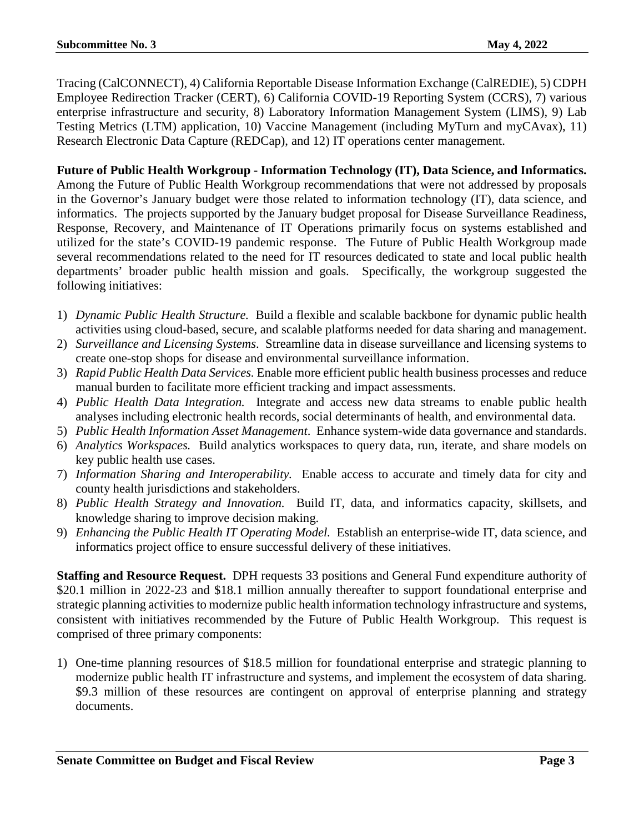Tracing (CalCONNECT), 4) California Reportable Disease Information Exchange (CalREDIE), 5) CDPH Employee Redirection Tracker (CERT), 6) California COVID-19 Reporting System (CCRS), 7) various enterprise infrastructure and security, 8) Laboratory Information Management System (LIMS), 9) Lab Testing Metrics (LTM) application, 10) Vaccine Management (including MyTurn and myCAvax), 11) Research Electronic Data Capture (REDCap), and 12) IT operations center management.

**Future of Public Health Workgroup - Information Technology (IT), Data Science, and Informatics.** Among the Future of Public Health Workgroup recommendations that were not addressed by proposals in the Governor's January budget were those related to information technology (IT), data science, and informatics. The projects supported by the January budget proposal for Disease Surveillance Readiness, Response, Recovery, and Maintenance of IT Operations primarily focus on systems established and utilized for the state's COVID-19 pandemic response. The Future of Public Health Workgroup made several recommendations related to the need for IT resources dedicated to state and local public health departments' broader public health mission and goals. Specifically, the workgroup suggested the following initiatives:

- 1) *Dynamic Public Health Structure.* Build a flexible and scalable backbone for dynamic public health activities using cloud-based, secure, and scalable platforms needed for data sharing and management.
- 2) *Surveillance and Licensing Systems*. Streamline data in disease surveillance and licensing systems to create one-stop shops for disease and environmental surveillance information.
- 3) *Rapid Public Health Data Services.* Enable more efficient public health business processes and reduce manual burden to facilitate more efficient tracking and impact assessments.
- 4) *Public Health Data Integration.* Integrate and access new data streams to enable public health analyses including electronic health records, social determinants of health, and environmental data.
- 5) *Public Health Information Asset Management*. Enhance system-wide data governance and standards.
- 6) *Analytics Workspaces.* Build analytics workspaces to query data, run, iterate, and share models on key public health use cases.
- 7) *Information Sharing and Interoperability.* Enable access to accurate and timely data for city and county health jurisdictions and stakeholders.
- 8) *Public Health Strategy and Innovation.* Build IT, data, and informatics capacity, skillsets, and knowledge sharing to improve decision making.
- 9) *Enhancing the Public Health IT Operating Model.* Establish an enterprise-wide IT, data science, and informatics project office to ensure successful delivery of these initiatives.

**Staffing and Resource Request.** DPH requests 33 positions and General Fund expenditure authority of \$20.1 million in 2022-23 and \$18.1 million annually thereafter to support foundational enterprise and strategic planning activities to modernize public health information technology infrastructure and systems, consistent with initiatives recommended by the Future of Public Health Workgroup. This request is comprised of three primary components:

1) One-time planning resources of \$18.5 million for foundational enterprise and strategic planning to modernize public health IT infrastructure and systems, and implement the ecosystem of data sharing. \$9.3 million of these resources are contingent on approval of enterprise planning and strategy documents.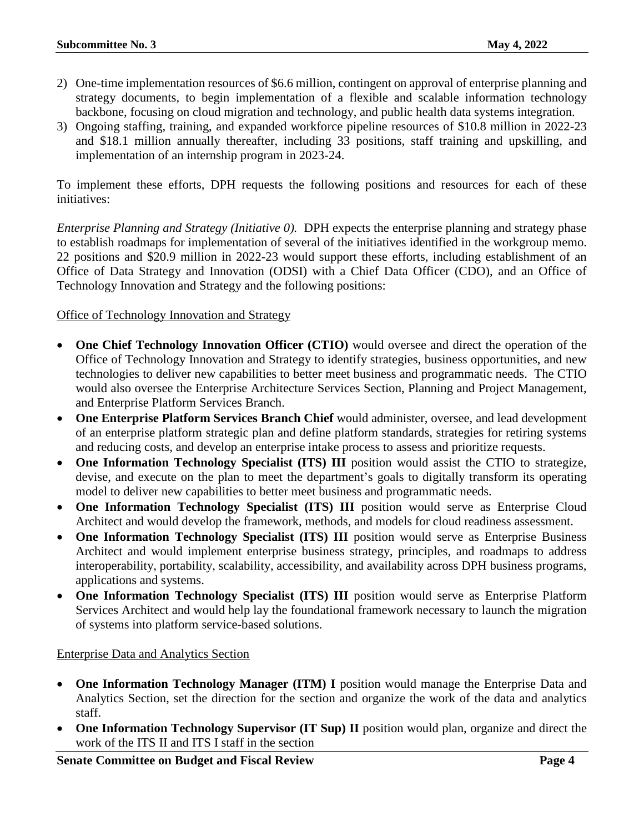- 2) One-time implementation resources of \$6.6 million, contingent on approval of enterprise planning and strategy documents, to begin implementation of a flexible and scalable information technology backbone, focusing on cloud migration and technology, and public health data systems integration.
- 3) Ongoing staffing, training, and expanded workforce pipeline resources of \$10.8 million in 2022-23 and \$18.1 million annually thereafter, including 33 positions, staff training and upskilling, and implementation of an internship program in 2023-24.

To implement these efforts, DPH requests the following positions and resources for each of these initiatives:

*Enterprise Planning and Strategy (Initiative 0).* DPH expects the enterprise planning and strategy phase to establish roadmaps for implementation of several of the initiatives identified in the workgroup memo. 22 positions and \$20.9 million in 2022-23 would support these efforts, including establishment of an Office of Data Strategy and Innovation (ODSI) with a Chief Data Officer (CDO), and an Office of Technology Innovation and Strategy and the following positions:

#### Office of Technology Innovation and Strategy

- **One Chief Technology Innovation Officer (CTIO)** would oversee and direct the operation of the Office of Technology Innovation and Strategy to identify strategies, business opportunities, and new technologies to deliver new capabilities to better meet business and programmatic needs. The CTIO would also oversee the Enterprise Architecture Services Section, Planning and Project Management, and Enterprise Platform Services Branch.
- **One Enterprise Platform Services Branch Chief** would administer, oversee, and lead development of an enterprise platform strategic plan and define platform standards, strategies for retiring systems and reducing costs, and develop an enterprise intake process to assess and prioritize requests.
- **One Information Technology Specialist (ITS) III** position would assist the CTIO to strategize, devise, and execute on the plan to meet the department's goals to digitally transform its operating model to deliver new capabilities to better meet business and programmatic needs.
- **One Information Technology Specialist (ITS) III** position would serve as Enterprise Cloud Architect and would develop the framework, methods, and models for cloud readiness assessment.
- **One Information Technology Specialist (ITS) III** position would serve as Enterprise Business Architect and would implement enterprise business strategy, principles, and roadmaps to address interoperability, portability, scalability, accessibility, and availability across DPH business programs, applications and systems.
- **One Information Technology Specialist (ITS) III** position would serve as Enterprise Platform Services Architect and would help lay the foundational framework necessary to launch the migration of systems into platform service-based solutions.

#### Enterprise Data and Analytics Section

- **One Information Technology Manager (ITM) I** position would manage the Enterprise Data and Analytics Section, set the direction for the section and organize the work of the data and analytics staff.
- **One Information Technology Supervisor (IT Sup) II** position would plan, organize and direct the work of the ITS II and ITS I staff in the section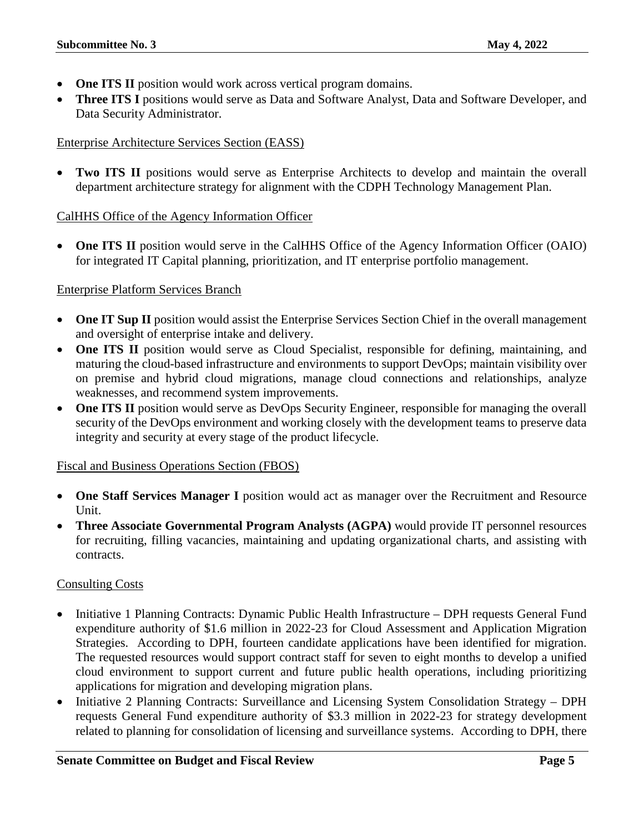- **One ITS II** position would work across vertical program domains.
- **Three ITS I** positions would serve as Data and Software Analyst, Data and Software Developer, and Data Security Administrator.

#### Enterprise Architecture Services Section (EASS)

• **Two ITS II** positions would serve as Enterprise Architects to develop and maintain the overall department architecture strategy for alignment with the CDPH Technology Management Plan.

#### CalHHS Office of the Agency Information Officer

• **One ITS II** position would serve in the CalHHS Office of the Agency Information Officer (OAIO) for integrated IT Capital planning, prioritization, and IT enterprise portfolio management.

#### Enterprise Platform Services Branch

- **One IT Sup II** position would assist the Enterprise Services Section Chief in the overall management and oversight of enterprise intake and delivery.
- **One ITS II** position would serve as Cloud Specialist, responsible for defining, maintaining, and maturing the cloud-based infrastructure and environments to support DevOps; maintain visibility over on premise and hybrid cloud migrations, manage cloud connections and relationships, analyze weaknesses, and recommend system improvements.
- **One ITS II** position would serve as DevOps Security Engineer, responsible for managing the overall security of the DevOps environment and working closely with the development teams to preserve data integrity and security at every stage of the product lifecycle.

#### Fiscal and Business Operations Section (FBOS)

- **One Staff Services Manager I** position would act as manager over the Recruitment and Resource Unit.
- **Three Associate Governmental Program Analysts (AGPA)** would provide IT personnel resources for recruiting, filling vacancies, maintaining and updating organizational charts, and assisting with contracts.

#### Consulting Costs

- Initiative 1 Planning Contracts: Dynamic Public Health Infrastructure DPH requests General Fund expenditure authority of \$1.6 million in 2022-23 for Cloud Assessment and Application Migration Strategies. According to DPH, fourteen candidate applications have been identified for migration. The requested resources would support contract staff for seven to eight months to develop a unified cloud environment to support current and future public health operations, including prioritizing applications for migration and developing migration plans.
- Initiative 2 Planning Contracts: Surveillance and Licensing System Consolidation Strategy DPH requests General Fund expenditure authority of \$3.3 million in 2022-23 for strategy development related to planning for consolidation of licensing and surveillance systems. According to DPH, there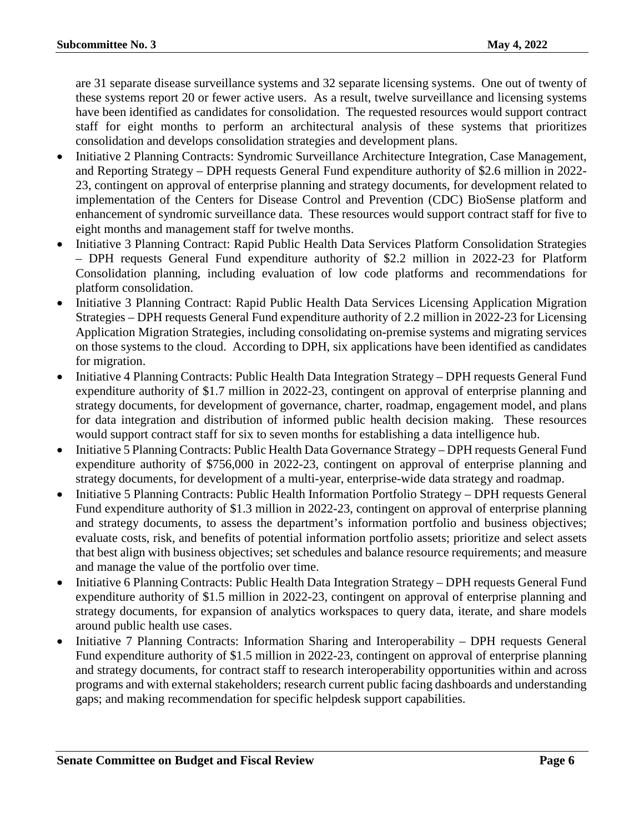are 31 separate disease surveillance systems and 32 separate licensing systems. One out of twenty of these systems report 20 or fewer active users. As a result, twelve surveillance and licensing systems have been identified as candidates for consolidation. The requested resources would support contract staff for eight months to perform an architectural analysis of these systems that prioritizes consolidation and develops consolidation strategies and development plans.

- Initiative 2 Planning Contracts: Syndromic Surveillance Architecture Integration, Case Management, and Reporting Strategy – DPH requests General Fund expenditure authority of \$2.6 million in 2022- 23, contingent on approval of enterprise planning and strategy documents, for development related to implementation of the Centers for Disease Control and Prevention (CDC) BioSense platform and enhancement of syndromic surveillance data. These resources would support contract staff for five to eight months and management staff for twelve months.
- Initiative 3 Planning Contract: Rapid Public Health Data Services Platform Consolidation Strategies – DPH requests General Fund expenditure authority of \$2.2 million in 2022-23 for Platform Consolidation planning, including evaluation of low code platforms and recommendations for platform consolidation.
- Initiative 3 Planning Contract: Rapid Public Health Data Services Licensing Application Migration Strategies – DPH requests General Fund expenditure authority of 2.2 million in 2022-23 for Licensing Application Migration Strategies, including consolidating on-premise systems and migrating services on those systems to the cloud. According to DPH, six applications have been identified as candidates for migration.
- Initiative 4 Planning Contracts: Public Health Data Integration Strategy DPH requests General Fund expenditure authority of \$1.7 million in 2022-23, contingent on approval of enterprise planning and strategy documents, for development of governance, charter, roadmap, engagement model, and plans for data integration and distribution of informed public health decision making. These resources would support contract staff for six to seven months for establishing a data intelligence hub.
- Initiative 5 Planning Contracts: Public Health Data Governance Strategy DPH requests General Fund expenditure authority of \$756,000 in 2022-23, contingent on approval of enterprise planning and strategy documents, for development of a multi-year, enterprise-wide data strategy and roadmap.
- Initiative 5 Planning Contracts: Public Health Information Portfolio Strategy DPH requests General Fund expenditure authority of \$1.3 million in 2022-23, contingent on approval of enterprise planning and strategy documents, to assess the department's information portfolio and business objectives; evaluate costs, risk, and benefits of potential information portfolio assets; prioritize and select assets that best align with business objectives; set schedules and balance resource requirements; and measure and manage the value of the portfolio over time.
- Initiative 6 Planning Contracts: Public Health Data Integration Strategy DPH requests General Fund expenditure authority of \$1.5 million in 2022-23, contingent on approval of enterprise planning and strategy documents, for expansion of analytics workspaces to query data, iterate, and share models around public health use cases.
- Initiative 7 Planning Contracts: Information Sharing and Interoperability DPH requests General Fund expenditure authority of \$1.5 million in 2022-23, contingent on approval of enterprise planning and strategy documents, for contract staff to research interoperability opportunities within and across programs and with external stakeholders; research current public facing dashboards and understanding gaps; and making recommendation for specific helpdesk support capabilities.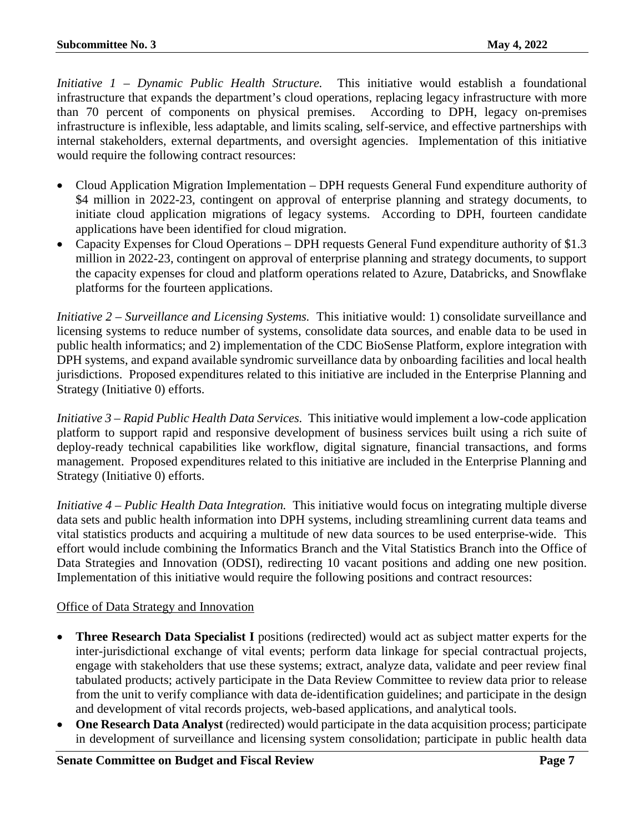*Initiative 1 – Dynamic Public Health Structure.* This initiative would establish a foundational infrastructure that expands the department's cloud operations, replacing legacy infrastructure with more than 70 percent of components on physical premises. According to DPH, legacy on-premises infrastructure is inflexible, less adaptable, and limits scaling, self-service, and effective partnerships with internal stakeholders, external departments, and oversight agencies. Implementation of this initiative would require the following contract resources:

- Cloud Application Migration Implementation DPH requests General Fund expenditure authority of \$4 million in 2022-23, contingent on approval of enterprise planning and strategy documents, to initiate cloud application migrations of legacy systems. According to DPH, fourteen candidate applications have been identified for cloud migration.
- Capacity Expenses for Cloud Operations DPH requests General Fund expenditure authority of \$1.3 million in 2022-23, contingent on approval of enterprise planning and strategy documents, to support the capacity expenses for cloud and platform operations related to Azure, Databricks, and Snowflake platforms for the fourteen applications.

*Initiative 2 – Surveillance and Licensing Systems.* This initiative would: 1) consolidate surveillance and licensing systems to reduce number of systems, consolidate data sources, and enable data to be used in public health informatics; and 2) implementation of the CDC BioSense Platform, explore integration with DPH systems, and expand available syndromic surveillance data by onboarding facilities and local health jurisdictions. Proposed expenditures related to this initiative are included in the Enterprise Planning and Strategy (Initiative 0) efforts.

*Initiative 3 – Rapid Public Health Data Services.* This initiative would implement a low-code application platform to support rapid and responsive development of business services built using a rich suite of deploy-ready technical capabilities like workflow, digital signature, financial transactions, and forms management. Proposed expenditures related to this initiative are included in the Enterprise Planning and Strategy (Initiative 0) efforts.

*Initiative 4 – Public Health Data Integration.* This initiative would focus on integrating multiple diverse data sets and public health information into DPH systems, including streamlining current data teams and vital statistics products and acquiring a multitude of new data sources to be used enterprise-wide. This effort would include combining the Informatics Branch and the Vital Statistics Branch into the Office of Data Strategies and Innovation (ODSI), redirecting 10 vacant positions and adding one new position. Implementation of this initiative would require the following positions and contract resources:

#### Office of Data Strategy and Innovation

- **Three Research Data Specialist I** positions (redirected) would act as subject matter experts for the inter-jurisdictional exchange of vital events; perform data linkage for special contractual projects, engage with stakeholders that use these systems; extract, analyze data, validate and peer review final tabulated products; actively participate in the Data Review Committee to review data prior to release from the unit to verify compliance with data de-identification guidelines; and participate in the design and development of vital records projects, web-based applications, and analytical tools.
- **One Research Data Analyst** (redirected) would participate in the data acquisition process; participate in development of surveillance and licensing system consolidation; participate in public health data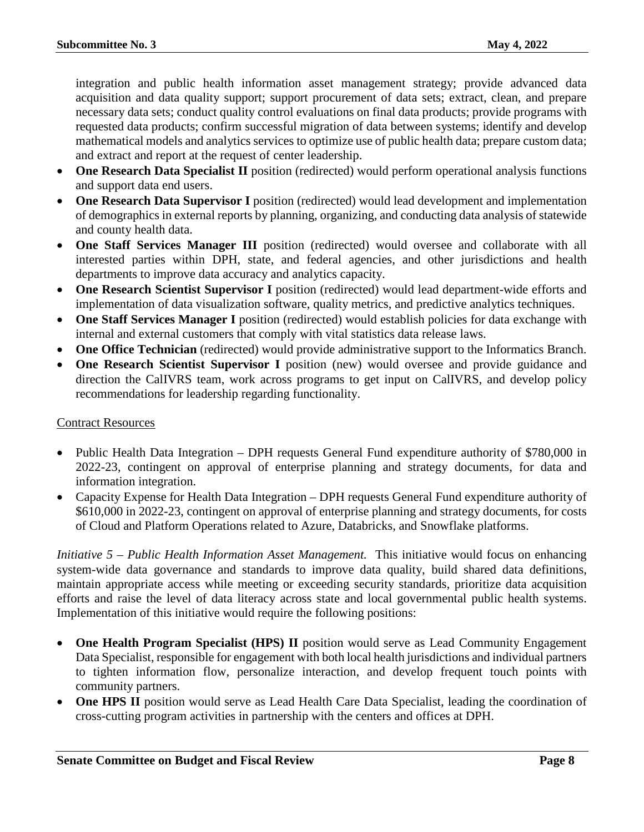integration and public health information asset management strategy; provide advanced data acquisition and data quality support; support procurement of data sets; extract, clean, and prepare necessary data sets; conduct quality control evaluations on final data products; provide programs with requested data products; confirm successful migration of data between systems; identify and develop mathematical models and analytics services to optimize use of public health data; prepare custom data; and extract and report at the request of center leadership.

- **One Research Data Specialist II** position (redirected) would perform operational analysis functions and support data end users.
- **One Research Data Supervisor I** position (redirected) would lead development and implementation of demographics in external reports by planning, organizing, and conducting data analysis of statewide and county health data.
- **One Staff Services Manager III** position (redirected) would oversee and collaborate with all interested parties within DPH, state, and federal agencies, and other jurisdictions and health departments to improve data accuracy and analytics capacity.
- One Research Scientist Supervisor I position (redirected) would lead department-wide efforts and implementation of data visualization software, quality metrics, and predictive analytics techniques.
- **One Staff Services Manager I** position (redirected) would establish policies for data exchange with internal and external customers that comply with vital statistics data release laws.
- **One Office Technician** (redirected) would provide administrative support to the Informatics Branch.
- **One Research Scientist Supervisor I** position (new) would oversee and provide guidance and direction the CalIVRS team, work across programs to get input on CalIVRS, and develop policy recommendations for leadership regarding functionality.

#### Contract Resources

- Public Health Data Integration DPH requests General Fund expenditure authority of \$780,000 in 2022-23, contingent on approval of enterprise planning and strategy documents, for data and information integration.
- Capacity Expense for Health Data Integration DPH requests General Fund expenditure authority of \$610,000 in 2022-23, contingent on approval of enterprise planning and strategy documents, for costs of Cloud and Platform Operations related to Azure, Databricks, and Snowflake platforms.

*Initiative 5 – Public Health Information Asset Management.* This initiative would focus on enhancing system-wide data governance and standards to improve data quality, build shared data definitions, maintain appropriate access while meeting or exceeding security standards, prioritize data acquisition efforts and raise the level of data literacy across state and local governmental public health systems. Implementation of this initiative would require the following positions:

- **One Health Program Specialist (HPS) II** position would serve as Lead Community Engagement Data Specialist, responsible for engagement with both local health jurisdictions and individual partners to tighten information flow, personalize interaction, and develop frequent touch points with community partners.
- **One HPS II** position would serve as Lead Health Care Data Specialist, leading the coordination of cross-cutting program activities in partnership with the centers and offices at DPH.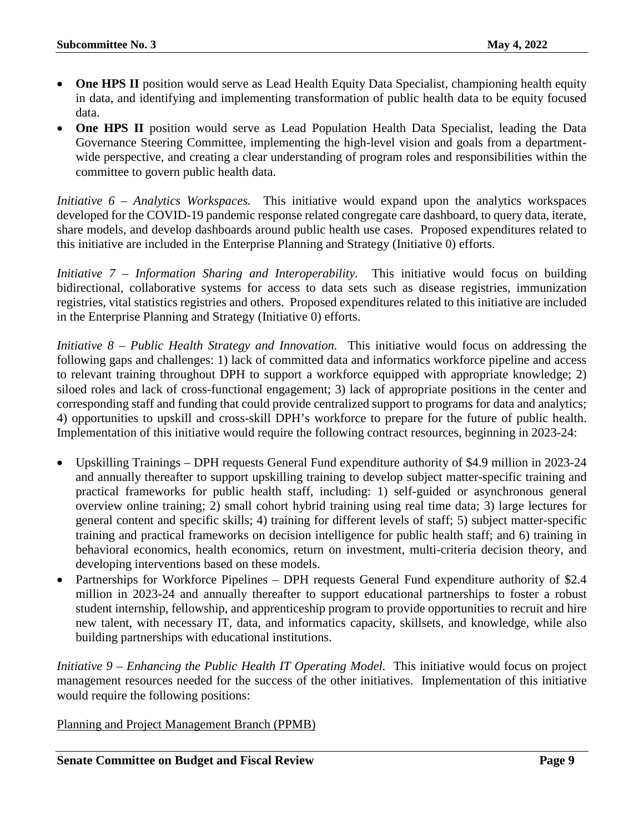- **One HPS II** position would serve as Lead Health Equity Data Specialist, championing health equity in data, and identifying and implementing transformation of public health data to be equity focused data.
- **One HPS II** position would serve as Lead Population Health Data Specialist, leading the Data Governance Steering Committee, implementing the high-level vision and goals from a departmentwide perspective, and creating a clear understanding of program roles and responsibilities within the committee to govern public health data.

*Initiative 6 – Analytics Workspaces.* This initiative would expand upon the analytics workspaces developed for the COVID-19 pandemic response related congregate care dashboard, to query data, iterate, share models, and develop dashboards around public health use cases. Proposed expenditures related to this initiative are included in the Enterprise Planning and Strategy (Initiative 0) efforts.

*Initiative 7 – Information Sharing and Interoperability.* This initiative would focus on building bidirectional, collaborative systems for access to data sets such as disease registries, immunization registries, vital statistics registries and others. Proposed expenditures related to this initiative are included in the Enterprise Planning and Strategy (Initiative 0) efforts.

*Initiative 8 – Public Health Strategy and Innovation.* This initiative would focus on addressing the following gaps and challenges: 1) lack of committed data and informatics workforce pipeline and access to relevant training throughout DPH to support a workforce equipped with appropriate knowledge; 2) siloed roles and lack of cross-functional engagement; 3) lack of appropriate positions in the center and corresponding staff and funding that could provide centralized support to programs for data and analytics; 4) opportunities to upskill and cross-skill DPH's workforce to prepare for the future of public health. Implementation of this initiative would require the following contract resources, beginning in 2023-24:

- Upskilling Trainings DPH requests General Fund expenditure authority of \$4.9 million in 2023-24 and annually thereafter to support upskilling training to develop subject matter-specific training and practical frameworks for public health staff, including: 1) self-guided or asynchronous general overview online training; 2) small cohort hybrid training using real time data; 3) large lectures for general content and specific skills; 4) training for different levels of staff; 5) subject matter-specific training and practical frameworks on decision intelligence for public health staff; and 6) training in behavioral economics, health economics, return on investment, multi-criteria decision theory, and developing interventions based on these models.
- Partnerships for Workforce Pipelines DPH requests General Fund expenditure authority of \$2.4 million in 2023-24 and annually thereafter to support educational partnerships to foster a robust student internship, fellowship, and apprenticeship program to provide opportunities to recruit and hire new talent, with necessary IT, data, and informatics capacity, skillsets, and knowledge, while also building partnerships with educational institutions.

*Initiative 9 – Enhancing the Public Health IT Operating Model.* This initiative would focus on project management resources needed for the success of the other initiatives. Implementation of this initiative would require the following positions:

Planning and Project Management Branch (PPMB)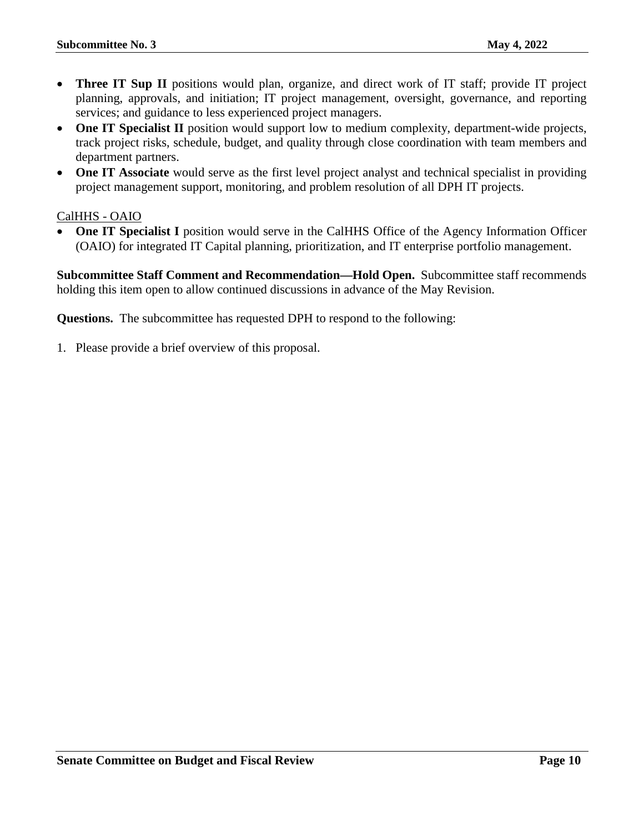- **Three IT Sup II** positions would plan, organize, and direct work of IT staff; provide IT project planning, approvals, and initiation; IT project management, oversight, governance, and reporting services; and guidance to less experienced project managers.
- **One IT Specialist II** position would support low to medium complexity, department-wide projects, track project risks, schedule, budget, and quality through close coordination with team members and department partners.
- **One IT Associate** would serve as the first level project analyst and technical specialist in providing project management support, monitoring, and problem resolution of all DPH IT projects.

#### CalHHS - OAIO

• **One IT Specialist I** position would serve in the CalHHS Office of the Agency Information Officer (OAIO) for integrated IT Capital planning, prioritization, and IT enterprise portfolio management.

**Subcommittee Staff Comment and Recommendation—Hold Open.** Subcommittee staff recommends holding this item open to allow continued discussions in advance of the May Revision.

**Questions.** The subcommittee has requested DPH to respond to the following:

1. Please provide a brief overview of this proposal.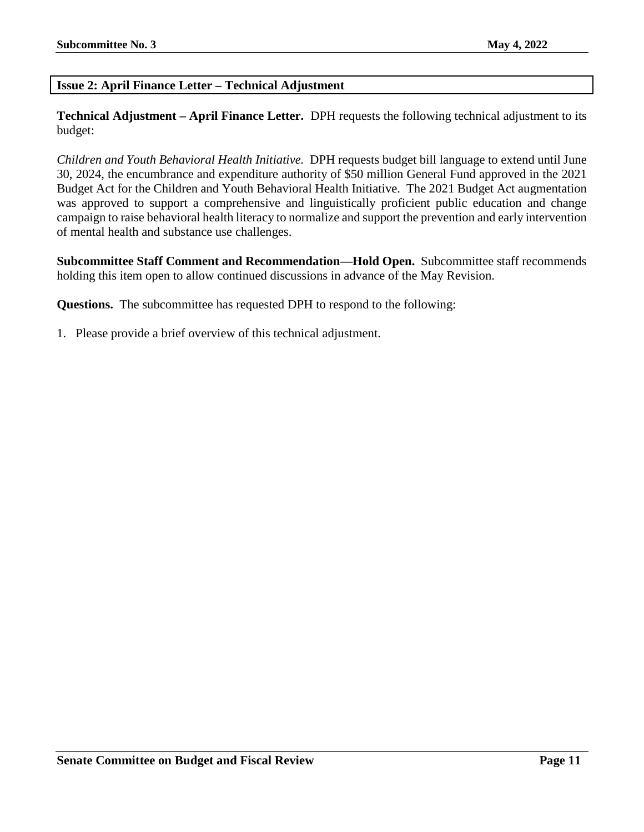#### <span id="page-10-0"></span>**Issue 2: April Finance Letter – Technical Adjustment**

**Technical Adjustment – April Finance Letter.** DPH requests the following technical adjustment to its budget:

*Children and Youth Behavioral Health Initiative.* DPH requests budget bill language to extend until June 30, 2024, the encumbrance and expenditure authority of \$50 million General Fund approved in the 2021 Budget Act for the Children and Youth Behavioral Health Initiative. The 2021 Budget Act augmentation was approved to support a comprehensive and linguistically proficient public education and change campaign to raise behavioral health literacy to normalize and support the prevention and early intervention of mental health and substance use challenges.

**Subcommittee Staff Comment and Recommendation—Hold Open.** Subcommittee staff recommends holding this item open to allow continued discussions in advance of the May Revision.

**Questions.** The subcommittee has requested DPH to respond to the following:

1. Please provide a brief overview of this technical adjustment.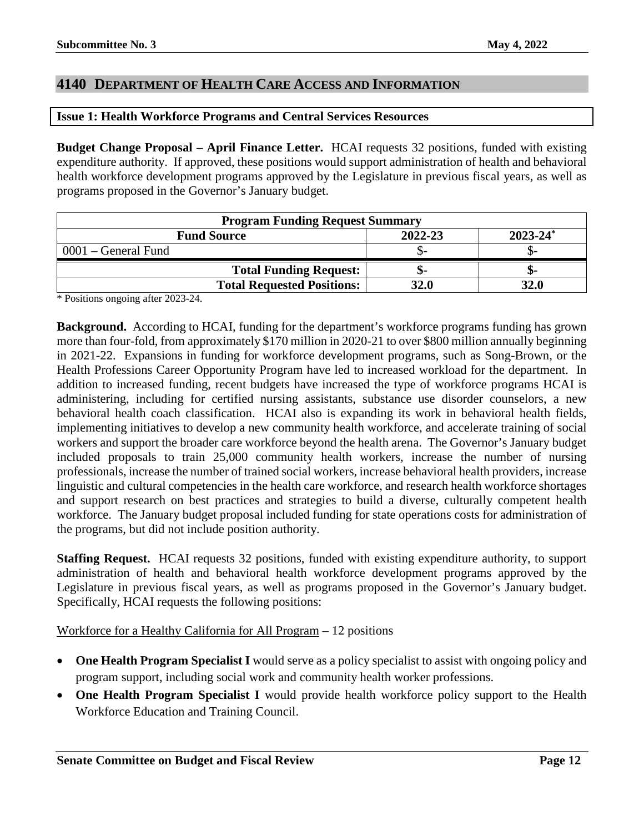#### <span id="page-11-0"></span>**4140 DEPARTMENT OF HEALTH CARE ACCESS AND INFORMATION**

#### <span id="page-11-1"></span>**Issue 1: Health Workforce Programs and Central Services Resources**

**Budget Change Proposal – April Finance Letter.** HCAI requests 32 positions, funded with existing expenditure authority. If approved, these positions would support administration of health and behavioral health workforce development programs approved by the Legislature in previous fiscal years, as well as programs proposed in the Governor's January budget.

| <b>Program Funding Request Summary</b> |         |               |
|----------------------------------------|---------|---------------|
| <b>Fund Source</b>                     | 2022-23 | $2023 - 24^*$ |
| $0001$ – General Fund                  |         |               |
| <b>Total Funding Request:</b>          |         | -ת.           |
| <b>Total Requested Positions:</b>      | 32.0    | 32.0          |

\* Positions ongoing after 2023-24.

**Background.** According to HCAI, funding for the department's workforce programs funding has grown more than four-fold, from approximately \$170 million in 2020-21 to over \$800 million annually beginning in 2021-22. Expansions in funding for workforce development programs, such as Song-Brown, or the Health Professions Career Opportunity Program have led to increased workload for the department. In addition to increased funding, recent budgets have increased the type of workforce programs HCAI is administering, including for certified nursing assistants, substance use disorder counselors, a new behavioral health coach classification. HCAI also is expanding its work in behavioral health fields, implementing initiatives to develop a new community health workforce, and accelerate training of social workers and support the broader care workforce beyond the health arena. The Governor's January budget included proposals to train 25,000 community health workers, increase the number of nursing professionals, increase the number of trained social workers, increase behavioral health providers, increase linguistic and cultural competencies in the health care workforce, and research health workforce shortages and support research on best practices and strategies to build a diverse, culturally competent health workforce. The January budget proposal included funding for state operations costs for administration of the programs, but did not include position authority.

**Staffing Request.** HCAI requests 32 positions, funded with existing expenditure authority, to support administration of health and behavioral health workforce development programs approved by the Legislature in previous fiscal years, as well as programs proposed in the Governor's January budget. Specifically, HCAI requests the following positions:

#### Workforce for a Healthy California for All Program – 12 positions

- **One Health Program Specialist I** would serve as a policy specialist to assist with ongoing policy and program support, including social work and community health worker professions.
- **One Health Program Specialist I** would provide health workforce policy support to the Health Workforce Education and Training Council.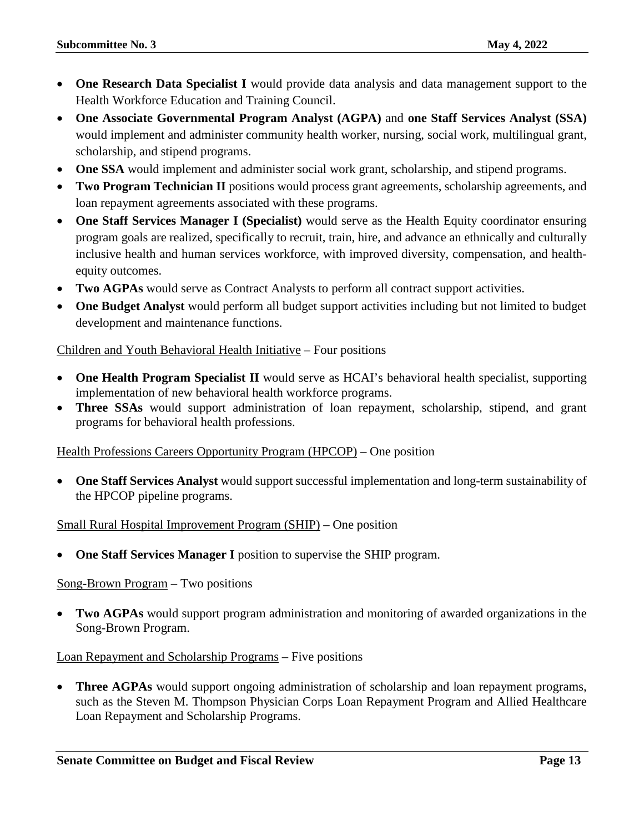- **One Research Data Specialist I** would provide data analysis and data management support to the Health Workforce Education and Training Council.
- **One Associate Governmental Program Analyst (AGPA)** and **one Staff Services Analyst (SSA)**  would implement and administer community health worker, nursing, social work, multilingual grant, scholarship, and stipend programs.
- **One SSA** would implement and administer social work grant, scholarship, and stipend programs.
- **Two Program Technician II** positions would process grant agreements, scholarship agreements, and loan repayment agreements associated with these programs.
- **One Staff Services Manager I (Specialist)** would serve as the Health Equity coordinator ensuring program goals are realized, specifically to recruit, train, hire, and advance an ethnically and culturally inclusive health and human services workforce, with improved diversity, compensation, and healthequity outcomes.
- **Two AGPAs** would serve as Contract Analysts to perform all contract support activities.
- **One Budget Analyst** would perform all budget support activities including but not limited to budget development and maintenance functions.

#### Children and Youth Behavioral Health Initiative – Four positions

- **One Health Program Specialist II** would serve as HCAI's behavioral health specialist, supporting implementation of new behavioral health workforce programs.
- **Three SSAs** would support administration of loan repayment, scholarship, stipend, and grant programs for behavioral health professions.

#### Health Professions Careers Opportunity Program (HPCOP) – One position

• **One Staff Services Analyst** would support successful implementation and long-term sustainability of the HPCOP pipeline programs.

#### Small Rural Hospital Improvement Program (SHIP) – One position

• **One Staff Services Manager I** position to supervise the SHIP program.

#### Song-Brown Program – Two positions

• **Two AGPAs** would support program administration and monitoring of awarded organizations in the Song-Brown Program.

#### Loan Repayment and Scholarship Programs – Five positions

• **Three AGPAs** would support ongoing administration of scholarship and loan repayment programs, such as the Steven M. Thompson Physician Corps Loan Repayment Program and Allied Healthcare Loan Repayment and Scholarship Programs.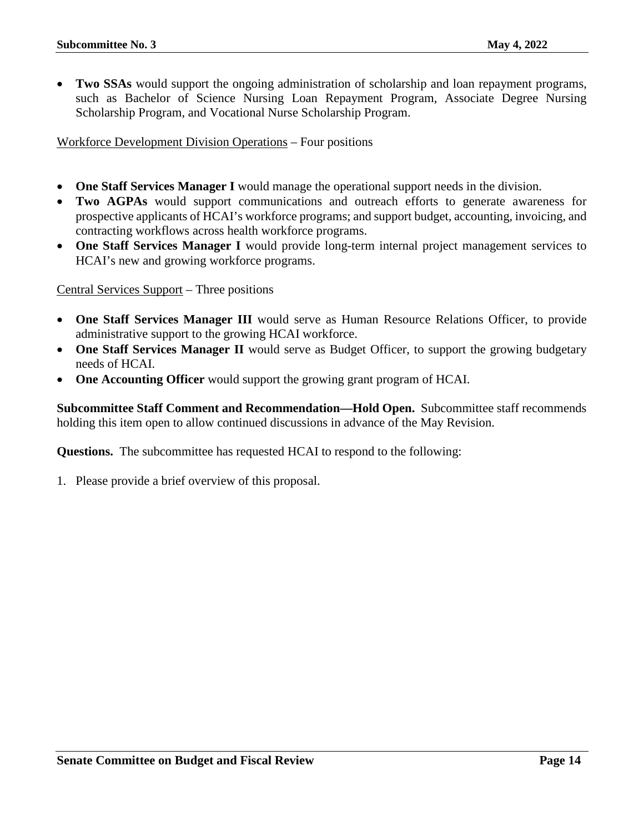• **Two SSAs** would support the ongoing administration of scholarship and loan repayment programs, such as Bachelor of Science Nursing Loan Repayment Program, Associate Degree Nursing Scholarship Program, and Vocational Nurse Scholarship Program.

Workforce Development Division Operations – Four positions

- **One Staff Services Manager I** would manage the operational support needs in the division.
- **Two AGPAs** would support communications and outreach efforts to generate awareness for prospective applicants of HCAI's workforce programs; and support budget, accounting, invoicing, and contracting workflows across health workforce programs.
- **One Staff Services Manager I** would provide long-term internal project management services to HCAI's new and growing workforce programs.

Central Services Support – Three positions

- **One Staff Services Manager III** would serve as Human Resource Relations Officer, to provide administrative support to the growing HCAI workforce.
- **One Staff Services Manager II** would serve as Budget Officer, to support the growing budgetary needs of HCAI.
- **One Accounting Officer** would support the growing grant program of HCAI.

**Subcommittee Staff Comment and Recommendation—Hold Open.** Subcommittee staff recommends holding this item open to allow continued discussions in advance of the May Revision.

**Questions.** The subcommittee has requested HCAI to respond to the following:

1. Please provide a brief overview of this proposal.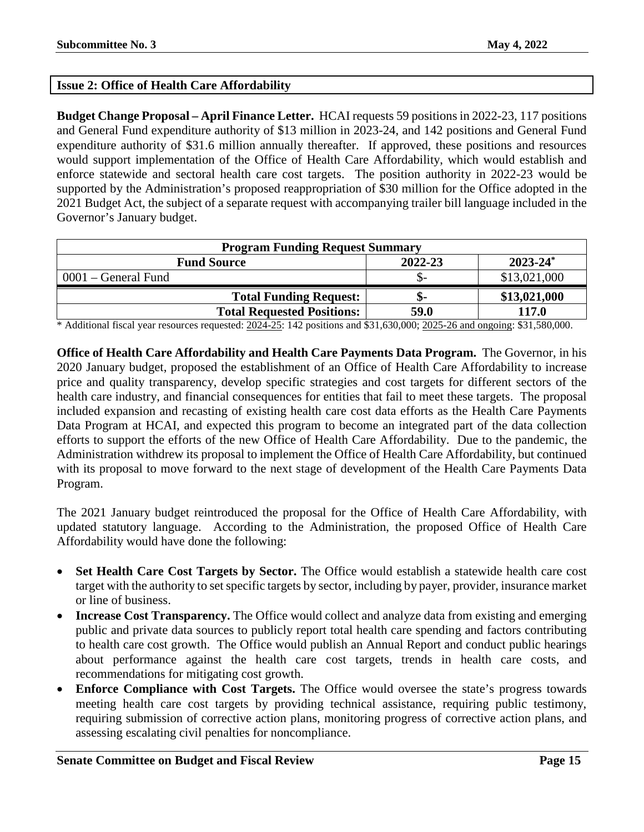#### <span id="page-14-0"></span>**Issue 2: Office of Health Care Affordability**

**Budget Change Proposal – April Finance Letter.** HCAI requests 59 positions in 2022-23, 117 positions and General Fund expenditure authority of \$13 million in 2023-24, and 142 positions and General Fund expenditure authority of \$31.6 million annually thereafter. If approved, these positions and resources would support implementation of the Office of Health Care Affordability, which would establish and enforce statewide and sectoral health care cost targets. The position authority in 2022-23 would be supported by the Administration's proposed reappropriation of \$30 million for the Office adopted in the 2021 Budget Act, the subject of a separate request with accompanying trailer bill language included in the Governor's January budget.

| <b>Program Funding Request Summary</b> |         |               |
|----------------------------------------|---------|---------------|
| <b>Fund Source</b>                     | 2022-23 | $2023 - 24^*$ |
| $0001$ – General Fund                  |         | \$13,021,000  |
| <b>Total Funding Request:</b>          |         | \$13,021,000  |
| <b>Total Requested Positions:</b>      | 59.0    | 117.0         |

\* Additional fiscal year resources requested: 2024-25: 142 positions and \$31,630,000; 2025-26 and ongoing: \$31,580,000.

**Office of Health Care Affordability and Health Care Payments Data Program.** The Governor, in his 2020 January budget, proposed the establishment of an Office of Health Care Affordability to increase price and quality transparency, develop specific strategies and cost targets for different sectors of the health care industry, and financial consequences for entities that fail to meet these targets. The proposal included expansion and recasting of existing health care cost data efforts as the Health Care Payments Data Program at HCAI, and expected this program to become an integrated part of the data collection efforts to support the efforts of the new Office of Health Care Affordability. Due to the pandemic, the Administration withdrew its proposal to implement the Office of Health Care Affordability, but continued with its proposal to move forward to the next stage of development of the Health Care Payments Data Program.

The 2021 January budget reintroduced the proposal for the Office of Health Care Affordability, with updated statutory language. According to the Administration, the proposed Office of Health Care Affordability would have done the following:

- **Set Health Care Cost Targets by Sector.** The Office would establish a statewide health care cost target with the authority to set specific targets by sector, including by payer, provider, insurance market or line of business.
- **Increase Cost Transparency.** The Office would collect and analyze data from existing and emerging public and private data sources to publicly report total health care spending and factors contributing to health care cost growth. The Office would publish an Annual Report and conduct public hearings about performance against the health care cost targets, trends in health care costs, and recommendations for mitigating cost growth.
- **Enforce Compliance with Cost Targets.** The Office would oversee the state's progress towards meeting health care cost targets by providing technical assistance, requiring public testimony, requiring submission of corrective action plans, monitoring progress of corrective action plans, and assessing escalating civil penalties for noncompliance.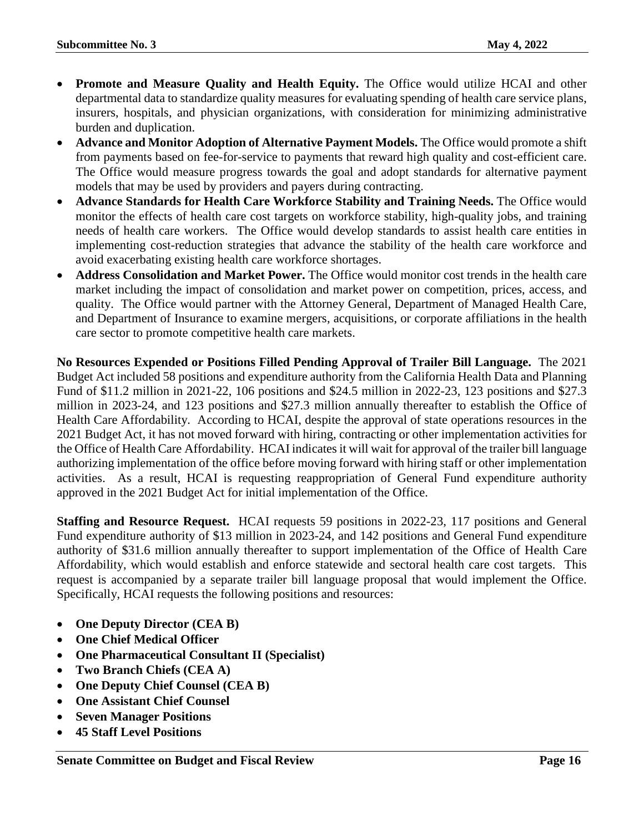- **Promote and Measure Quality and Health Equity.** The Office would utilize HCAI and other departmental data to standardize quality measures for evaluating spending of health care service plans, insurers, hospitals, and physician organizations, with consideration for minimizing administrative burden and duplication.
- **Advance and Monitor Adoption of Alternative Payment Models.** The Office would promote a shift from payments based on fee-for-service to payments that reward high quality and cost-efficient care. The Office would measure progress towards the goal and adopt standards for alternative payment models that may be used by providers and payers during contracting.
- **Advance Standards for Health Care Workforce Stability and Training Needs.** The Office would monitor the effects of health care cost targets on workforce stability, high-quality jobs, and training needs of health care workers. The Office would develop standards to assist health care entities in implementing cost-reduction strategies that advance the stability of the health care workforce and avoid exacerbating existing health care workforce shortages.
- **Address Consolidation and Market Power.** The Office would monitor cost trends in the health care market including the impact of consolidation and market power on competition, prices, access, and quality. The Office would partner with the Attorney General, Department of Managed Health Care, and Department of Insurance to examine mergers, acquisitions, or corporate affiliations in the health care sector to promote competitive health care markets.

**No Resources Expended or Positions Filled Pending Approval of Trailer Bill Language.** The 2021 Budget Act included 58 positions and expenditure authority from the California Health Data and Planning Fund of \$11.2 million in 2021-22, 106 positions and \$24.5 million in 2022-23, 123 positions and \$27.3 million in 2023-24, and 123 positions and \$27.3 million annually thereafter to establish the Office of Health Care Affordability. According to HCAI, despite the approval of state operations resources in the 2021 Budget Act, it has not moved forward with hiring, contracting or other implementation activities for the Office of Health Care Affordability. HCAI indicates it will wait for approval of the trailer bill language authorizing implementation of the office before moving forward with hiring staff or other implementation activities. As a result, HCAI is requesting reappropriation of General Fund expenditure authority approved in the 2021 Budget Act for initial implementation of the Office.

**Staffing and Resource Request.** HCAI requests 59 positions in 2022-23, 117 positions and General Fund expenditure authority of \$13 million in 2023-24, and 142 positions and General Fund expenditure authority of \$31.6 million annually thereafter to support implementation of the Office of Health Care Affordability, which would establish and enforce statewide and sectoral health care cost targets. This request is accompanied by a separate trailer bill language proposal that would implement the Office. Specifically, HCAI requests the following positions and resources:

- **One Deputy Director (CEA B)**
- **One Chief Medical Officer**
- **One Pharmaceutical Consultant II (Specialist)**
- **Two Branch Chiefs (CEA A)**
- **One Deputy Chief Counsel (CEA B)**
- **One Assistant Chief Counsel**
- **Seven Manager Positions**
- **45 Staff Level Positions**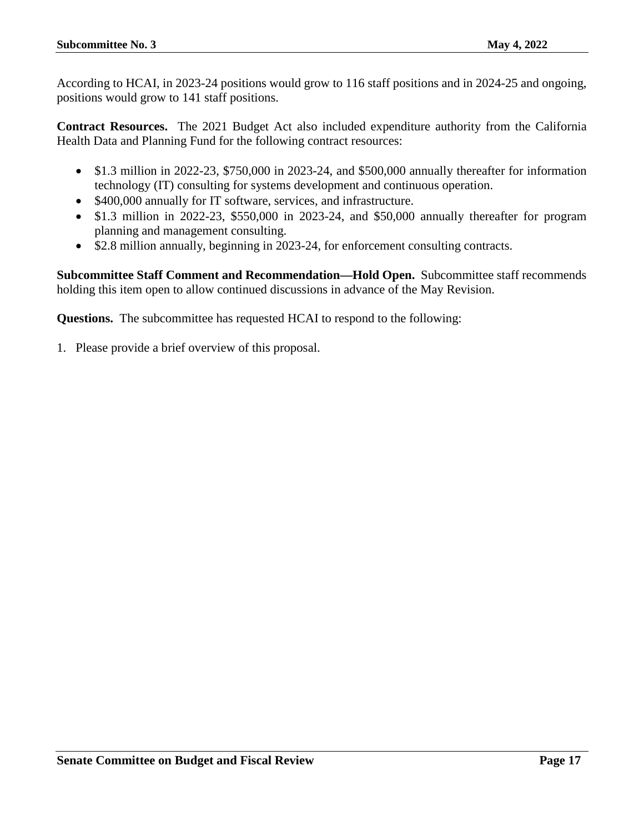According to HCAI, in 2023-24 positions would grow to 116 staff positions and in 2024-25 and ongoing, positions would grow to 141 staff positions.

**Contract Resources.** The 2021 Budget Act also included expenditure authority from the California Health Data and Planning Fund for the following contract resources:

- \$1.3 million in 2022-23, \$750,000 in 2023-24, and \$500,000 annually thereafter for information technology (IT) consulting for systems development and continuous operation.
- \$400,000 annually for IT software, services, and infrastructure.
- \$1.3 million in 2022-23, \$550,000 in 2023-24, and \$50,000 annually thereafter for program planning and management consulting.
- \$2.8 million annually, beginning in 2023-24, for enforcement consulting contracts.

**Subcommittee Staff Comment and Recommendation—Hold Open.** Subcommittee staff recommends holding this item open to allow continued discussions in advance of the May Revision.

**Questions.** The subcommittee has requested HCAI to respond to the following:

1. Please provide a brief overview of this proposal.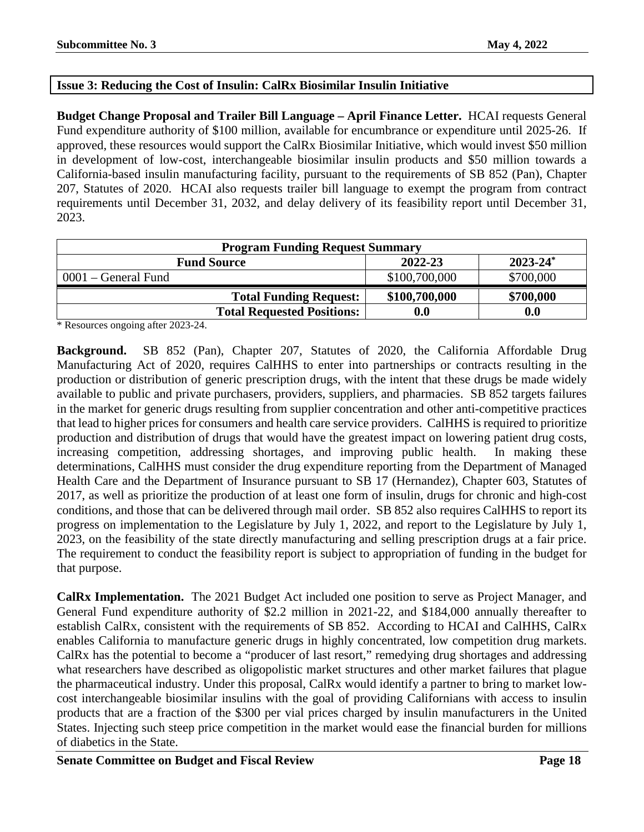#### <span id="page-17-0"></span>**Issue 3: Reducing the Cost of Insulin: CalRx Biosimilar Insulin Initiative**

**Budget Change Proposal and Trailer Bill Language – April Finance Letter.** HCAI requests General Fund expenditure authority of \$100 million, available for encumbrance or expenditure until 2025-26. If approved, these resources would support the CalRx Biosimilar Initiative, which would invest \$50 million in development of low-cost, interchangeable biosimilar insulin products and \$50 million towards a California-based insulin manufacturing facility, pursuant to the requirements of SB 852 (Pan), Chapter 207, Statutes of 2020. HCAI also requests trailer bill language to exempt the program from contract requirements until December 31, 2032, and delay delivery of its feasibility report until December 31, 2023.

| <b>Program Funding Request Summary</b> |               |               |
|----------------------------------------|---------------|---------------|
| <b>Fund Source</b>                     | 2022-23       | $2023 - 24^*$ |
| 0001 – General Fund                    | \$100,700,000 | \$700,000     |
| <b>Total Funding Request:</b>          | \$100,700,000 | \$700,000     |
| <b>Total Requested Positions:</b>      | 0.0           | 0.0           |

\* Resources ongoing after 2023-24.

**Background.** SB 852 (Pan), Chapter 207, Statutes of 2020, the California Affordable Drug Manufacturing Act of 2020, requires CalHHS to enter into partnerships or contracts resulting in the production or distribution of generic prescription drugs, with the intent that these drugs be made widely available to public and private purchasers, providers, suppliers, and pharmacies. SB 852 targets failures in the market for generic drugs resulting from supplier concentration and other anti-competitive practices that lead to higher prices for consumers and health care service providers. CalHHS is required to prioritize production and distribution of drugs that would have the greatest impact on lowering patient drug costs, increasing competition, addressing shortages, and improving public health. In making these determinations, CalHHS must consider the drug expenditure reporting from the Department of Managed Health Care and the Department of Insurance pursuant to SB 17 (Hernandez), Chapter 603, Statutes of 2017, as well as prioritize the production of at least one form of insulin, drugs for chronic and high-cost conditions, and those that can be delivered through mail order. SB 852 also requires CalHHS to report its progress on implementation to the Legislature by July 1, 2022, and report to the Legislature by July 1, 2023, on the feasibility of the state directly manufacturing and selling prescription drugs at a fair price. The requirement to conduct the feasibility report is subject to appropriation of funding in the budget for that purpose.

**CalRx Implementation.** The 2021 Budget Act included one position to serve as Project Manager, and General Fund expenditure authority of \$2.2 million in 2021-22, and \$184,000 annually thereafter to establish CalRx, consistent with the requirements of SB 852. According to HCAI and CalHHS, CalRx enables California to manufacture generic drugs in highly concentrated, low competition drug markets. CalRx has the potential to become a "producer of last resort," remedying drug shortages and addressing what researchers have described as oligopolistic market structures and other market failures that plague the pharmaceutical industry. Under this proposal, CalRx would identify a partner to bring to market lowcost interchangeable biosimilar insulins with the goal of providing Californians with access to insulin products that are a fraction of the \$300 per vial prices charged by insulin manufacturers in the United States. Injecting such steep price competition in the market would ease the financial burden for millions of diabetics in the State.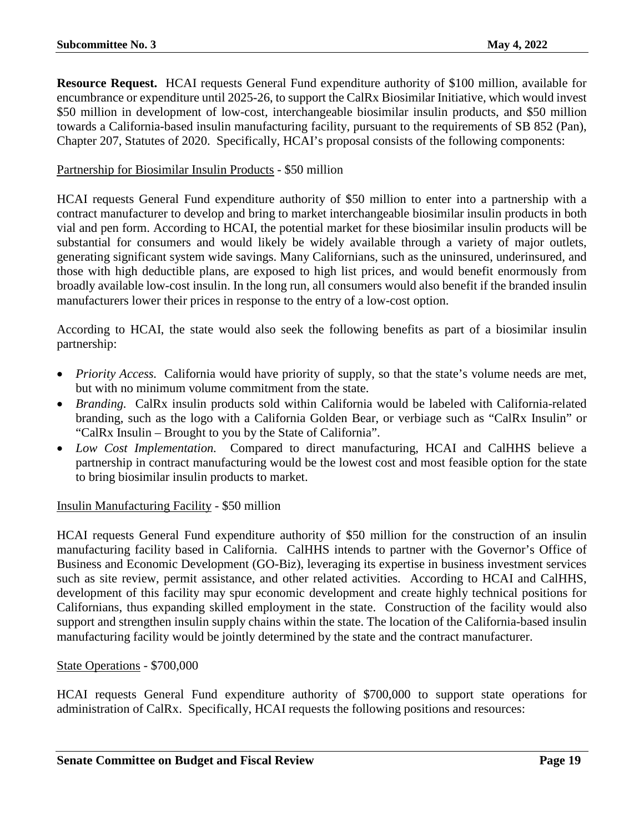**Resource Request.** HCAI requests General Fund expenditure authority of \$100 million, available for encumbrance or expenditure until 2025-26, to support the CalRx Biosimilar Initiative, which would invest \$50 million in development of low-cost, interchangeable biosimilar insulin products, and \$50 million towards a California-based insulin manufacturing facility, pursuant to the requirements of SB 852 (Pan), Chapter 207, Statutes of 2020. Specifically, HCAI's proposal consists of the following components:

#### Partnership for Biosimilar Insulin Products - \$50 million

HCAI requests General Fund expenditure authority of \$50 million to enter into a partnership with a contract manufacturer to develop and bring to market interchangeable biosimilar insulin products in both vial and pen form. According to HCAI, the potential market for these biosimilar insulin products will be substantial for consumers and would likely be widely available through a variety of major outlets, generating significant system wide savings. Many Californians, such as the uninsured, underinsured, and those with high deductible plans, are exposed to high list prices, and would benefit enormously from broadly available low-cost insulin. In the long run, all consumers would also benefit if the branded insulin manufacturers lower their prices in response to the entry of a low-cost option.

According to HCAI, the state would also seek the following benefits as part of a biosimilar insulin partnership:

- *Priority Access.* California would have priority of supply, so that the state's volume needs are met, but with no minimum volume commitment from the state.
- *Branding.* CalRx insulin products sold within California would be labeled with California-related branding, such as the logo with a California Golden Bear, or verbiage such as "CalRx Insulin" or "CalRx Insulin – Brought to you by the State of California".
- *Low Cost Implementation.* Compared to direct manufacturing, HCAI and CalHHS believe a partnership in contract manufacturing would be the lowest cost and most feasible option for the state to bring biosimilar insulin products to market.

#### Insulin Manufacturing Facility - \$50 million

HCAI requests General Fund expenditure authority of \$50 million for the construction of an insulin manufacturing facility based in California. CalHHS intends to partner with the Governor's Office of Business and Economic Development (GO-Biz), leveraging its expertise in business investment services such as site review, permit assistance, and other related activities. According to HCAI and CalHHS, development of this facility may spur economic development and create highly technical positions for Californians, thus expanding skilled employment in the state. Construction of the facility would also support and strengthen insulin supply chains within the state. The location of the California-based insulin manufacturing facility would be jointly determined by the state and the contract manufacturer.

#### State Operations - \$700,000

HCAI requests General Fund expenditure authority of \$700,000 to support state operations for administration of CalRx. Specifically, HCAI requests the following positions and resources: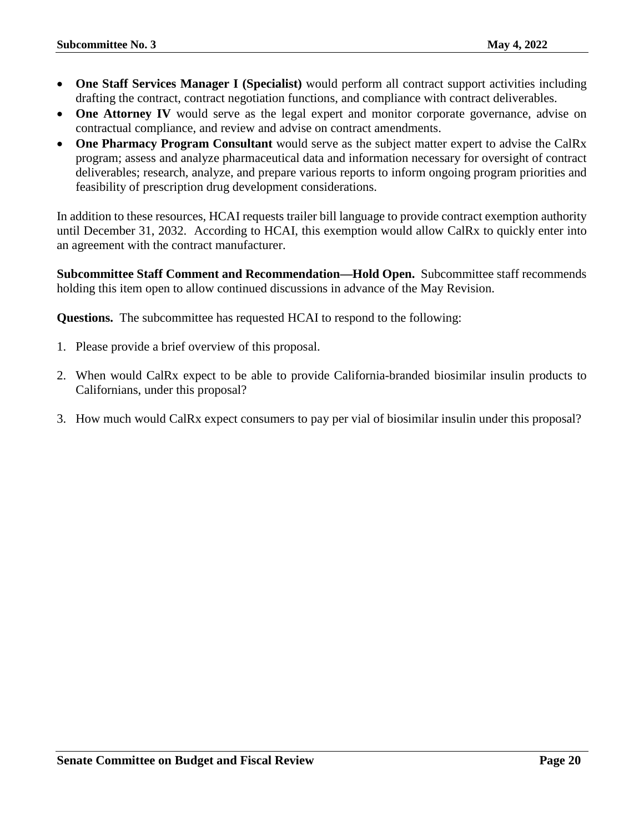- **One Staff Services Manager I (Specialist)** would perform all contract support activities including drafting the contract, contract negotiation functions, and compliance with contract deliverables.
- **One Attorney IV** would serve as the legal expert and monitor corporate governance, advise on contractual compliance, and review and advise on contract amendments.
- **One Pharmacy Program Consultant** would serve as the subject matter expert to advise the CalRx program; assess and analyze pharmaceutical data and information necessary for oversight of contract deliverables; research, analyze, and prepare various reports to inform ongoing program priorities and feasibility of prescription drug development considerations.

In addition to these resources, HCAI requests trailer bill language to provide contract exemption authority until December 31, 2032. According to HCAI, this exemption would allow CalRx to quickly enter into an agreement with the contract manufacturer.

**Subcommittee Staff Comment and Recommendation—Hold Open.** Subcommittee staff recommends holding this item open to allow continued discussions in advance of the May Revision.

**Questions.** The subcommittee has requested HCAI to respond to the following:

- 1. Please provide a brief overview of this proposal.
- 2. When would CalRx expect to be able to provide California-branded biosimilar insulin products to Californians, under this proposal?
- 3. How much would CalRx expect consumers to pay per vial of biosimilar insulin under this proposal?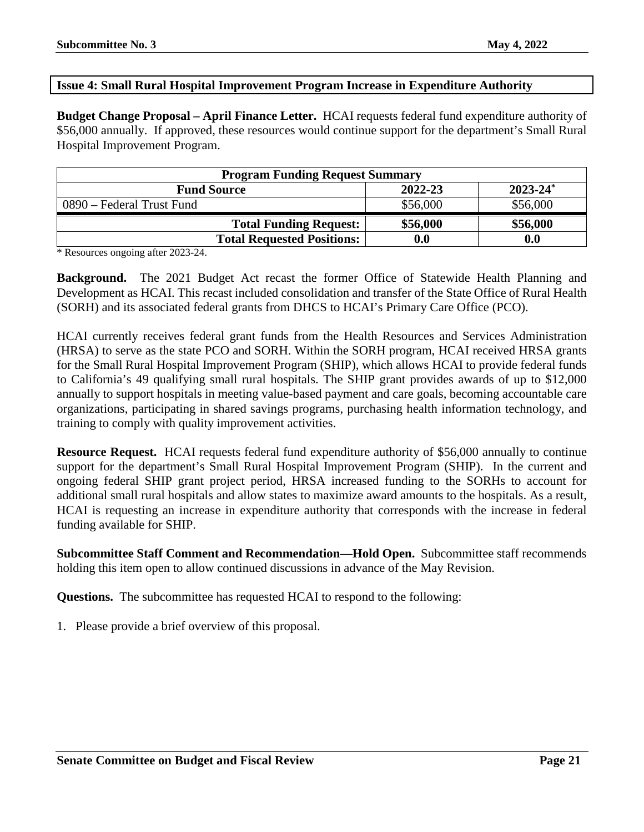#### <span id="page-20-0"></span>**Issue 4: Small Rural Hospital Improvement Program Increase in Expenditure Authority**

**Budget Change Proposal – April Finance Letter.** HCAI requests federal fund expenditure authority of \$56,000 annually. If approved, these resources would continue support for the department's Small Rural Hospital Improvement Program.

| <b>Program Funding Request Summary</b> |          |               |
|----------------------------------------|----------|---------------|
| <b>Fund Source</b>                     | 2022-23  | $2023 - 24^*$ |
| 0890 – Federal Trust Fund              | \$56,000 | \$56,000      |
| <b>Total Funding Request:</b>          | \$56,000 | \$56,000      |
| <b>Total Requested Positions:</b>      | 0.0      | 0.0           |

\* Resources ongoing after 2023-24.

**Background.** The 2021 Budget Act recast the former Office of Statewide Health Planning and Development as HCAI. This recast included consolidation and transfer of the State Office of Rural Health (SORH) and its associated federal grants from DHCS to HCAI's Primary Care Office (PCO).

HCAI currently receives federal grant funds from the Health Resources and Services Administration (HRSA) to serve as the state PCO and SORH. Within the SORH program, HCAI received HRSA grants for the Small Rural Hospital Improvement Program (SHIP), which allows HCAI to provide federal funds to California's 49 qualifying small rural hospitals. The SHIP grant provides awards of up to \$12,000 annually to support hospitals in meeting value-based payment and care goals, becoming accountable care organizations, participating in shared savings programs, purchasing health information technology, and training to comply with quality improvement activities.

**Resource Request.** HCAI requests federal fund expenditure authority of \$56,000 annually to continue support for the department's Small Rural Hospital Improvement Program (SHIP). In the current and ongoing federal SHIP grant project period, HRSA increased funding to the SORHs to account for additional small rural hospitals and allow states to maximize award amounts to the hospitals. As a result, HCAI is requesting an increase in expenditure authority that corresponds with the increase in federal funding available for SHIP.

**Subcommittee Staff Comment and Recommendation—Hold Open.** Subcommittee staff recommends holding this item open to allow continued discussions in advance of the May Revision.

**Questions.** The subcommittee has requested HCAI to respond to the following:

1. Please provide a brief overview of this proposal.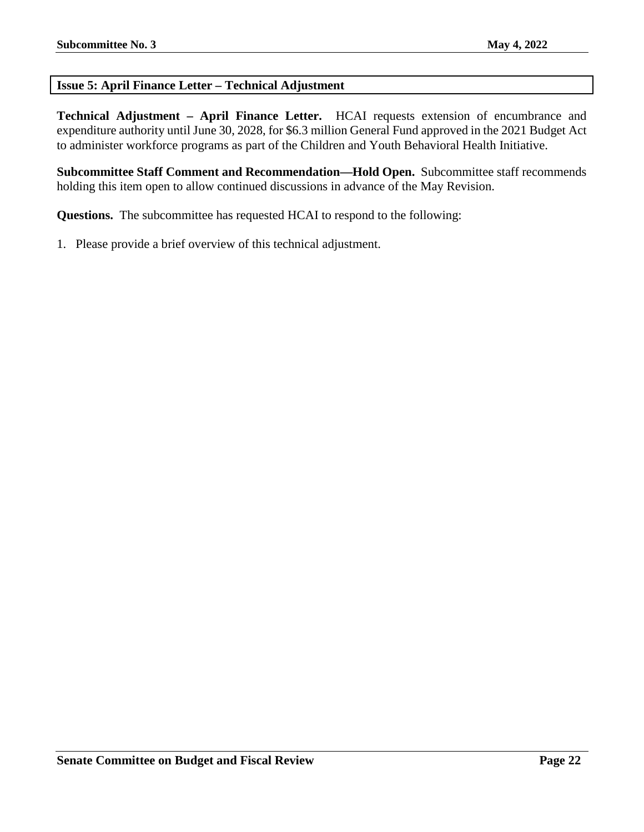#### <span id="page-21-0"></span>**Issue 5: April Finance Letter – Technical Adjustment**

**Technical Adjustment – April Finance Letter.** HCAI requests extension of encumbrance and expenditure authority until June 30, 2028, for \$6.3 million General Fund approved in the 2021 Budget Act to administer workforce programs as part of the Children and Youth Behavioral Health Initiative.

**Subcommittee Staff Comment and Recommendation—Hold Open.** Subcommittee staff recommends holding this item open to allow continued discussions in advance of the May Revision.

**Questions.** The subcommittee has requested HCAI to respond to the following:

1. Please provide a brief overview of this technical adjustment.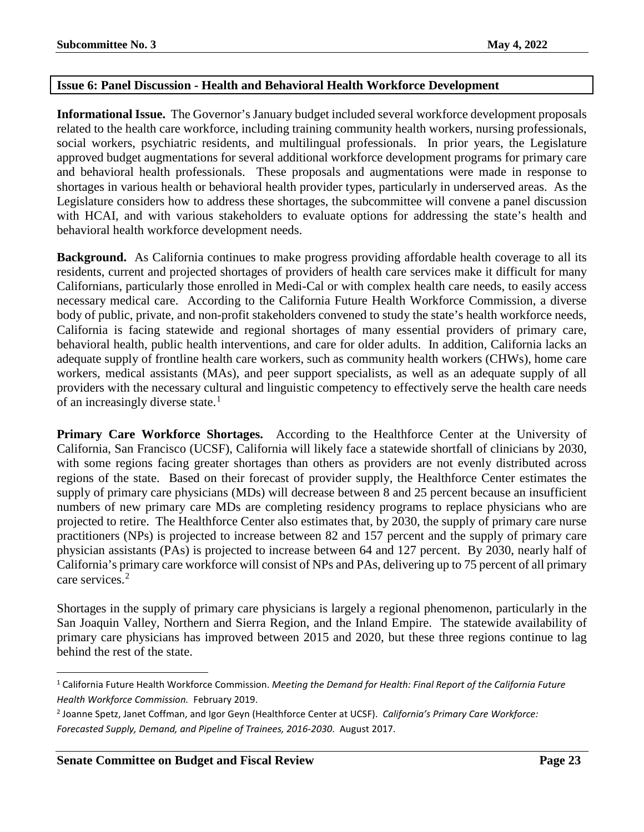#### <span id="page-22-0"></span>**Issue 6: Panel Discussion - Health and Behavioral Health Workforce Development**

**Informational Issue.** The Governor's January budget included several workforce development proposals related to the health care workforce, including training community health workers, nursing professionals, social workers, psychiatric residents, and multilingual professionals. In prior years, the Legislature approved budget augmentations for several additional workforce development programs for primary care and behavioral health professionals. These proposals and augmentations were made in response to shortages in various health or behavioral health provider types, particularly in underserved areas. As the Legislature considers how to address these shortages, the subcommittee will convene a panel discussion with HCAI, and with various stakeholders to evaluate options for addressing the state's health and behavioral health workforce development needs.

**Background.** As California continues to make progress providing affordable health coverage to all its residents, current and projected shortages of providers of health care services make it difficult for many Californians, particularly those enrolled in Medi-Cal or with complex health care needs, to easily access necessary medical care. According to the California Future Health Workforce Commission, a diverse body of public, private, and non-profit stakeholders convened to study the state's health workforce needs, California is facing statewide and regional shortages of many essential providers of primary care, behavioral health, public health interventions, and care for older adults. In addition, California lacks an adequate supply of frontline health care workers, such as community health workers (CHWs), home care workers, medical assistants (MAs), and peer support specialists, as well as an adequate supply of all providers with the necessary cultural and linguistic competency to effectively serve the health care needs of an increasingly diverse state.<sup>[1](#page-22-1)</sup>

**Primary Care Workforce Shortages.** According to the Healthforce Center at the University of California, San Francisco (UCSF), California will likely face a statewide shortfall of clinicians by 2030, with some regions facing greater shortages than others as providers are not evenly distributed across regions of the state. Based on their forecast of provider supply, the Healthforce Center estimates the supply of primary care physicians (MDs) will decrease between 8 and 25 percent because an insufficient numbers of new primary care MDs are completing residency programs to replace physicians who are projected to retire. The Healthforce Center also estimates that, by 2030, the supply of primary care nurse practitioners (NPs) is projected to increase between 82 and 157 percent and the supply of primary care physician assistants (PAs) is projected to increase between 64 and 127 percent. By 2030, nearly half of California's primary care workforce will consist of NPs and PAs, delivering up to 75 percent of all primary care services.<sup>[2](#page-22-2)</sup>

Shortages in the supply of primary care physicians is largely a regional phenomenon, particularly in the San Joaquin Valley, Northern and Sierra Region, and the Inland Empire. The statewide availability of primary care physicians has improved between 2015 and 2020, but these three regions continue to lag behind the rest of the state.

<span id="page-22-1"></span> <sup>1</sup> California Future Health Workforce Commission. *Meeting the Demand for Health: Final Report of the California Future Health Workforce Commission.* February 2019.

<span id="page-22-2"></span><sup>2</sup> Joanne Spetz, Janet Coffman, and Igor Geyn (Healthforce Center at UCSF). *California's Primary Care Workforce: Forecasted Supply, Demand, and Pipeline of Trainees, 2016-2030*. August 2017.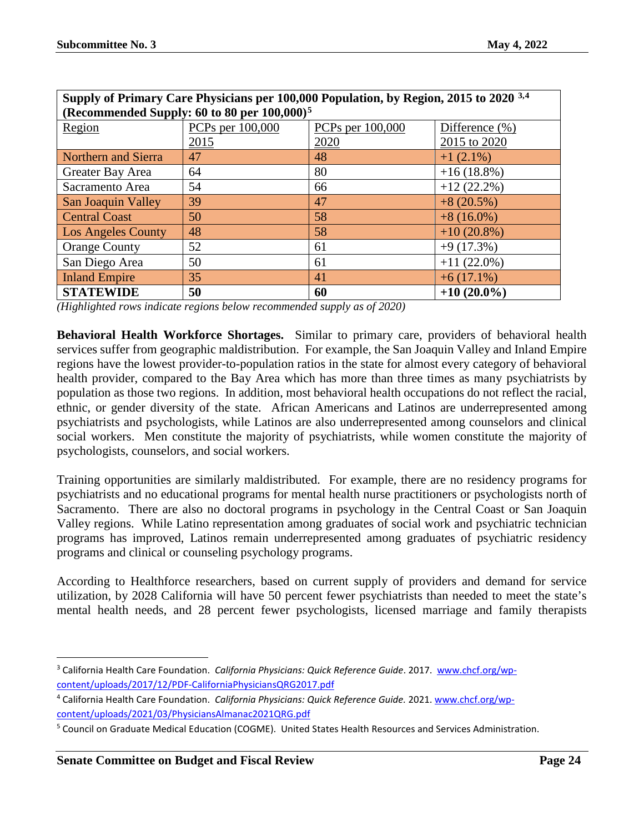| Supply of Primary Care Physicians per 100,000 Population, by Region, 2015 to 2020 3,4 |                  |                  |                   |
|---------------------------------------------------------------------------------------|------------------|------------------|-------------------|
| (Recommended Supply: 60 to 80 per 100,000) <sup>5</sup>                               |                  |                  |                   |
| Region                                                                                | PCPs per 100,000 | PCPs per 100,000 | Difference $(\%)$ |
|                                                                                       | 2015             | 2020             | 2015 to 2020      |
| Northern and Sierra                                                                   | 47               | 48               | $+1(2.1\%)$       |
| Greater Bay Area                                                                      | 64               | 80               | $+16(18.8\%)$     |
| Sacramento Area                                                                       | 54               | 66               | $+12(22.2\%)$     |
| San Joaquin Valley                                                                    | 39               | 47               | $+8(20.5%)$       |
| <b>Central Coast</b>                                                                  | 50               | 58               | $+8(16.0\%)$      |
| <b>Los Angeles County</b>                                                             | 48               | 58               | $+10(20.8\%)$     |
| <b>Orange County</b>                                                                  | 52               | 61               | $+9(17.3%)$       |
| San Diego Area                                                                        | 50               | 61               | $+11(22.0\%)$     |
| <b>Inland Empire</b>                                                                  | 35               | 41               | $+6(17.1\%)$      |
| <b>STATEWIDE</b>                                                                      | 50               | 60               | $+10(20.0\%)$     |

*(Highlighted rows indicate regions below recommended supply as of 2020)*

**Behavioral Health Workforce Shortages.** Similar to primary care, providers of behavioral health services suffer from geographic maldistribution. For example, the San Joaquin Valley and Inland Empire regions have the lowest provider-to-population ratios in the state for almost every category of behavioral health provider, compared to the Bay Area which has more than three times as many psychiatrists by population as those two regions. In addition, most behavioral health occupations do not reflect the racial, ethnic, or gender diversity of the state. African Americans and Latinos are underrepresented among psychiatrists and psychologists, while Latinos are also underrepresented among counselors and clinical social workers. Men constitute the majority of psychiatrists, while women constitute the majority of psychologists, counselors, and social workers.

Training opportunities are similarly maldistributed. For example, there are no residency programs for psychiatrists and no educational programs for mental health nurse practitioners or psychologists north of Sacramento. There are also no doctoral programs in psychology in the Central Coast or San Joaquin Valley regions. While Latino representation among graduates of social work and psychiatric technician programs has improved, Latinos remain underrepresented among graduates of psychiatric residency programs and clinical or counseling psychology programs.

According to Healthforce researchers, based on current supply of providers and demand for service utilization, by 2028 California will have 50 percent fewer psychiatrists than needed to meet the state's mental health needs, and 28 percent fewer psychologists, licensed marriage and family therapists

<span id="page-23-0"></span><sup>&</sup>lt;sup>3</sup> California Health Care Foundation. *California Physicians: Quick Reference Guide*. 2017. [www.chcf.org/wp](http://www.chcf.org/wp-content/uploads/2017/12/PDF-CaliforniaPhysiciansQRG2017.pdf)[content/uploads/2017/12/PDF-CaliforniaPhysiciansQRG2017.pdf](http://www.chcf.org/wp-content/uploads/2017/12/PDF-CaliforniaPhysiciansQRG2017.pdf)

<span id="page-23-1"></span><sup>4</sup> California Health Care Foundation. *California Physicians: Quick Reference Guide.* 2021[. www.chcf.org/wp](http://www.chcf.org/wp-content/uploads/2021/03/PhysiciansAlmanac2021QRG.pdf)[content/uploads/2021/03/PhysiciansAlmanac2021QRG.pdf](http://www.chcf.org/wp-content/uploads/2021/03/PhysiciansAlmanac2021QRG.pdf)

<span id="page-23-2"></span><sup>5</sup> Council on Graduate Medical Education (COGME). United States Health Resources and Services Administration.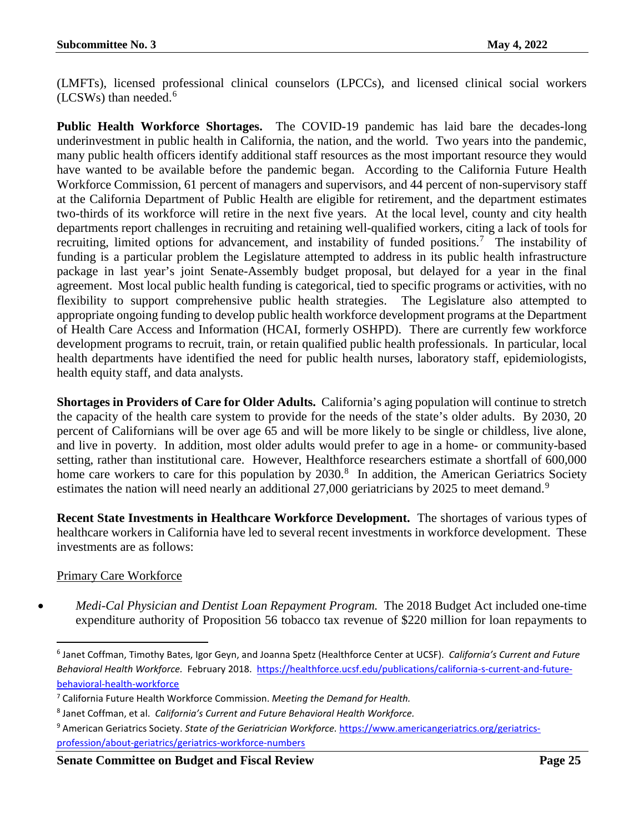(LMFTs), licensed professional clinical counselors (LPCCs), and licensed clinical social workers  $(LCSWs)$  than needed.<sup>[6](#page-24-0)</sup>

**Public Health Workforce Shortages.** The COVID-19 pandemic has laid bare the decades-long underinvestment in public health in California, the nation, and the world. Two years into the pandemic, many public health officers identify additional staff resources as the most important resource they would have wanted to be available before the pandemic began. According to the California Future Health Workforce Commission, 61 percent of managers and supervisors, and 44 percent of non-supervisory staff at the California Department of Public Health are eligible for retirement, and the department estimates two-thirds of its workforce will retire in the next five years. At the local level, county and city health departments report challenges in recruiting and retaining well-qualified workers, citing a lack of tools for recruiting, limited options for advancement, and instability of funded positions.<sup>[7](#page-24-1)</sup> The instability of funding is a particular problem the Legislature attempted to address in its public health infrastructure package in last year's joint Senate-Assembly budget proposal, but delayed for a year in the final agreement. Most local public health funding is categorical, tied to specific programs or activities, with no flexibility to support comprehensive public health strategies. The Legislature also attempted to appropriate ongoing funding to develop public health workforce development programs at the Department of Health Care Access and Information (HCAI, formerly OSHPD). There are currently few workforce development programs to recruit, train, or retain qualified public health professionals. In particular, local health departments have identified the need for public health nurses, laboratory staff, epidemiologists, health equity staff, and data analysts.

**Shortages in Providers of Care for Older Adults.** California's aging population will continue to stretch the capacity of the health care system to provide for the needs of the state's older adults. By 2030, 20 percent of Californians will be over age 65 and will be more likely to be single or childless, live alone, and live in poverty. In addition, most older adults would prefer to age in a home- or community-based setting, rather than institutional care. However, Healthforce researchers estimate a shortfall of 600,000 home care workers to care for this population by 2030.<sup>[8](#page-24-2)</sup> In addition, the American Geriatrics Society estimates the nation will need nearly an additional 27,000 geriatricians by 2025 to meet demand.<sup>[9](#page-24-3)</sup>

**Recent State Investments in Healthcare Workforce Development.** The shortages of various types of healthcare workers in California have led to several recent investments in workforce development. These investments are as follows:

#### Primary Care Workforce

• *Medi-Cal Physician and Dentist Loan Repayment Program.* The 2018 Budget Act included one-time expenditure authority of Proposition 56 tobacco tax revenue of \$220 million for loan repayments to

<span id="page-24-0"></span> <sup>6</sup> Janet Coffman, Timothy Bates, Igor Geyn, and Joanna Spetz (Healthforce Center at UCSF). *California's Current and Future Behavioral Health Workforce.* February 2018. [https://healthforce.ucsf.edu/publications/california-s-current-and-future](https://healthforce.ucsf.edu/publications/california-s-current-and-future-behavioral-health-workforce)[behavioral-health-workforce](https://healthforce.ucsf.edu/publications/california-s-current-and-future-behavioral-health-workforce)

<span id="page-24-1"></span><sup>7</sup> California Future Health Workforce Commission. *Meeting the Demand for Health.*

<span id="page-24-2"></span><sup>8</sup> Janet Coffman, et al. *California's Current and Future Behavioral Health Workforce.*

<span id="page-24-3"></span><sup>9</sup> American Geriatrics Society. *State of the Geriatrician Workforce.* [https://www.americangeriatrics.org/geriatrics](https://www.americangeriatrics.org/geriatrics-profession/about-geriatrics/geriatrics-workforce-numbers)[profession/about-geriatrics/geriatrics-workforce-numbers](https://www.americangeriatrics.org/geriatrics-profession/about-geriatrics/geriatrics-workforce-numbers)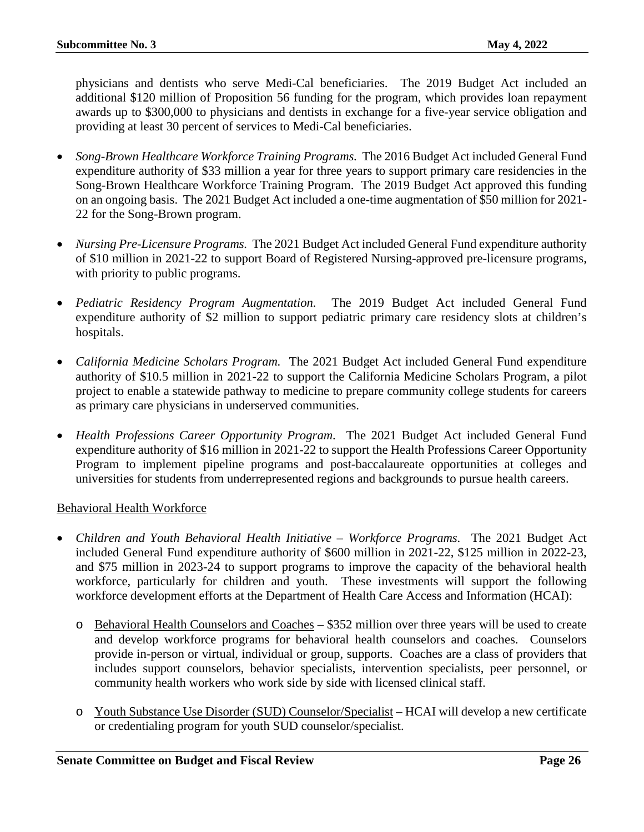physicians and dentists who serve Medi-Cal beneficiaries. The 2019 Budget Act included an additional \$120 million of Proposition 56 funding for the program, which provides loan repayment awards up to \$300,000 to physicians and dentists in exchange for a five-year service obligation and providing at least 30 percent of services to Medi-Cal beneficiaries.

- *Song-Brown Healthcare Workforce Training Programs.* The 2016 Budget Act included General Fund expenditure authority of \$33 million a year for three years to support primary care residencies in the Song-Brown Healthcare Workforce Training Program. The 2019 Budget Act approved this funding on an ongoing basis. The 2021 Budget Act included a one-time augmentation of \$50 million for 2021- 22 for the Song-Brown program.
- *Nursing Pre-Licensure Programs.* The 2021 Budget Act included General Fund expenditure authority of \$10 million in 2021-22 to support Board of Registered Nursing-approved pre-licensure programs, with priority to public programs.
- *Pediatric Residency Program Augmentation.* The 2019 Budget Act included General Fund expenditure authority of \$2 million to support pediatric primary care residency slots at children's hospitals.
- *California Medicine Scholars Program.* The 2021 Budget Act included General Fund expenditure authority of \$10.5 million in 2021-22 to support the California Medicine Scholars Program, a pilot project to enable a statewide pathway to medicine to prepare community college students for careers as primary care physicians in underserved communities.
- *Health Professions Career Opportunity Program.* The 2021 Budget Act included General Fund expenditure authority of \$16 million in 2021-22 to support the Health Professions Career Opportunity Program to implement pipeline programs and post-baccalaureate opportunities at colleges and universities for students from underrepresented regions and backgrounds to pursue health careers.

#### Behavioral Health Workforce

- *Children and Youth Behavioral Health Initiative – Workforce Programs.* The 2021 Budget Act included General Fund expenditure authority of \$600 million in 2021-22, \$125 million in 2022-23, and \$75 million in 2023-24 to support programs to improve the capacity of the behavioral health workforce, particularly for children and youth. These investments will support the following workforce development efforts at the Department of Health Care Access and Information (HCAI):
	- o Behavioral Health Counselors and Coaches \$352 million over three years will be used to create and develop workforce programs for behavioral health counselors and coaches. Counselors provide in-person or virtual, individual or group, supports. Coaches are a class of providers that includes support counselors, behavior specialists, intervention specialists, peer personnel, or community health workers who work side by side with licensed clinical staff.
	- o Youth Substance Use Disorder (SUD) Counselor/Specialist HCAI will develop a new certificate or credentialing program for youth SUD counselor/specialist.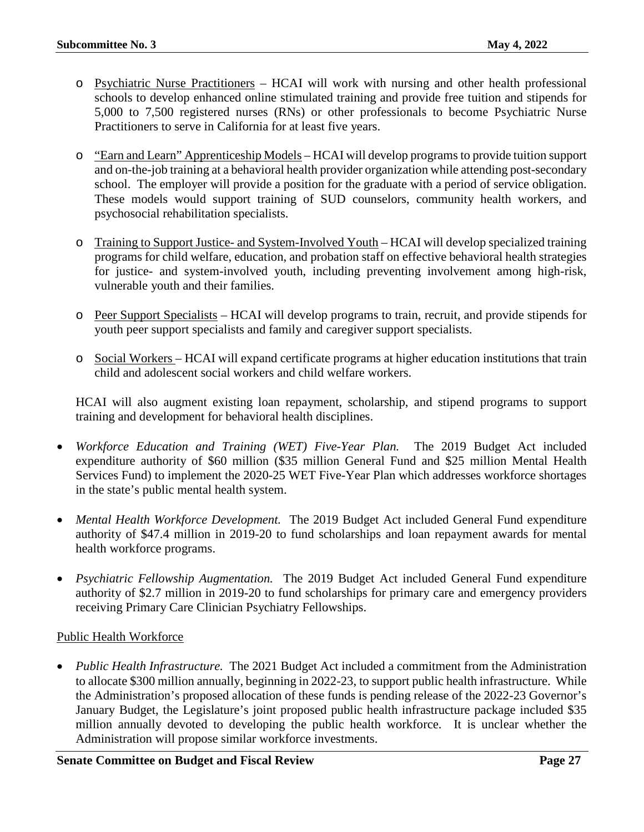- o Psychiatric Nurse Practitioners HCAI will work with nursing and other health professional schools to develop enhanced online stimulated training and provide free tuition and stipends for 5,000 to 7,500 registered nurses (RNs) or other professionals to become Psychiatric Nurse Practitioners to serve in California for at least five years.
- o "Earn and Learn" Apprenticeship Models HCAI will develop programs to provide tuition support and on-the-job training at a behavioral health provider organization while attending post-secondary school. The employer will provide a position for the graduate with a period of service obligation. These models would support training of SUD counselors, community health workers, and psychosocial rehabilitation specialists.
- o Training to Support Justice- and System-Involved Youth HCAI will develop specialized training programs for child welfare, education, and probation staff on effective behavioral health strategies for justice- and system-involved youth, including preventing involvement among high-risk, vulnerable youth and their families.
- o Peer Support Specialists HCAI will develop programs to train, recruit, and provide stipends for youth peer support specialists and family and caregiver support specialists.
- o Social Workers HCAI will expand certificate programs at higher education institutions that train child and adolescent social workers and child welfare workers.

HCAI will also augment existing loan repayment, scholarship, and stipend programs to support training and development for behavioral health disciplines.

- *Workforce Education and Training (WET) Five-Year Plan.* The 2019 Budget Act included expenditure authority of \$60 million (\$35 million General Fund and \$25 million Mental Health Services Fund) to implement the 2020-25 WET Five-Year Plan which addresses workforce shortages in the state's public mental health system.
- *Mental Health Workforce Development.* The 2019 Budget Act included General Fund expenditure authority of \$47.4 million in 2019-20 to fund scholarships and loan repayment awards for mental health workforce programs.
- *Psychiatric Fellowship Augmentation.* The 2019 Budget Act included General Fund expenditure authority of \$2.7 million in 2019-20 to fund scholarships for primary care and emergency providers receiving Primary Care Clinician Psychiatry Fellowships.

#### Public Health Workforce

• *Public Health Infrastructure.* The 2021 Budget Act included a commitment from the Administration to allocate \$300 million annually, beginning in 2022-23, to support public health infrastructure. While the Administration's proposed allocation of these funds is pending release of the 2022-23 Governor's January Budget, the Legislature's joint proposed public health infrastructure package included \$35 million annually devoted to developing the public health workforce. It is unclear whether the Administration will propose similar workforce investments.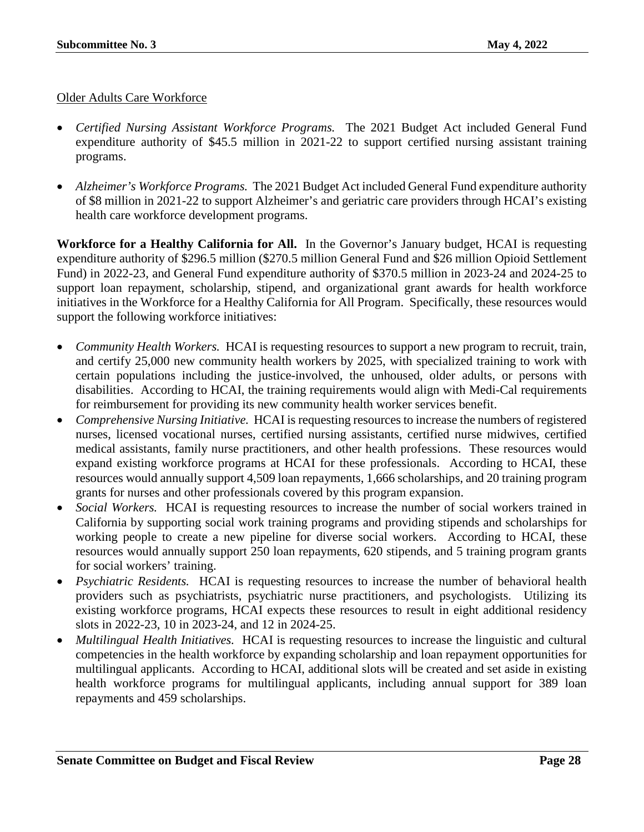#### Older Adults Care Workforce

- *Certified Nursing Assistant Workforce Programs.* The 2021 Budget Act included General Fund expenditure authority of \$45.5 million in 2021-22 to support certified nursing assistant training programs.
- *Alzheimer's Workforce Programs.* The 2021 Budget Act included General Fund expenditure authority of \$8 million in 2021-22 to support Alzheimer's and geriatric care providers through HCAI's existing health care workforce development programs.

**Workforce for a Healthy California for All.** In the Governor's January budget, HCAI is requesting expenditure authority of \$296.5 million (\$270.5 million General Fund and \$26 million Opioid Settlement Fund) in 2022-23, and General Fund expenditure authority of \$370.5 million in 2023-24 and 2024-25 to support loan repayment, scholarship, stipend, and organizational grant awards for health workforce initiatives in the Workforce for a Healthy California for All Program. Specifically, these resources would support the following workforce initiatives:

- *Community Health Workers.* HCAI is requesting resources to support a new program to recruit, train, and certify 25,000 new community health workers by 2025, with specialized training to work with certain populations including the justice-involved, the unhoused, older adults, or persons with disabilities. According to HCAI, the training requirements would align with Medi-Cal requirements for reimbursement for providing its new community health worker services benefit.
- *Comprehensive Nursing Initiative.* HCAI is requesting resources to increase the numbers of registered nurses, licensed vocational nurses, certified nursing assistants, certified nurse midwives, certified medical assistants, family nurse practitioners, and other health professions. These resources would expand existing workforce programs at HCAI for these professionals. According to HCAI, these resources would annually support 4,509 loan repayments, 1,666 scholarships, and 20 training program grants for nurses and other professionals covered by this program expansion.
- *Social Workers.* HCAI is requesting resources to increase the number of social workers trained in California by supporting social work training programs and providing stipends and scholarships for working people to create a new pipeline for diverse social workers. According to HCAI, these resources would annually support 250 loan repayments, 620 stipends, and 5 training program grants for social workers' training.
- *Psychiatric Residents.* HCAI is requesting resources to increase the number of behavioral health providers such as psychiatrists, psychiatric nurse practitioners, and psychologists. Utilizing its existing workforce programs, HCAI expects these resources to result in eight additional residency slots in 2022-23, 10 in 2023-24, and 12 in 2024-25.
- *Multilingual Health Initiatives.* HCAI is requesting resources to increase the linguistic and cultural competencies in the health workforce by expanding scholarship and loan repayment opportunities for multilingual applicants. According to HCAI, additional slots will be created and set aside in existing health workforce programs for multilingual applicants, including annual support for 389 loan repayments and 459 scholarships.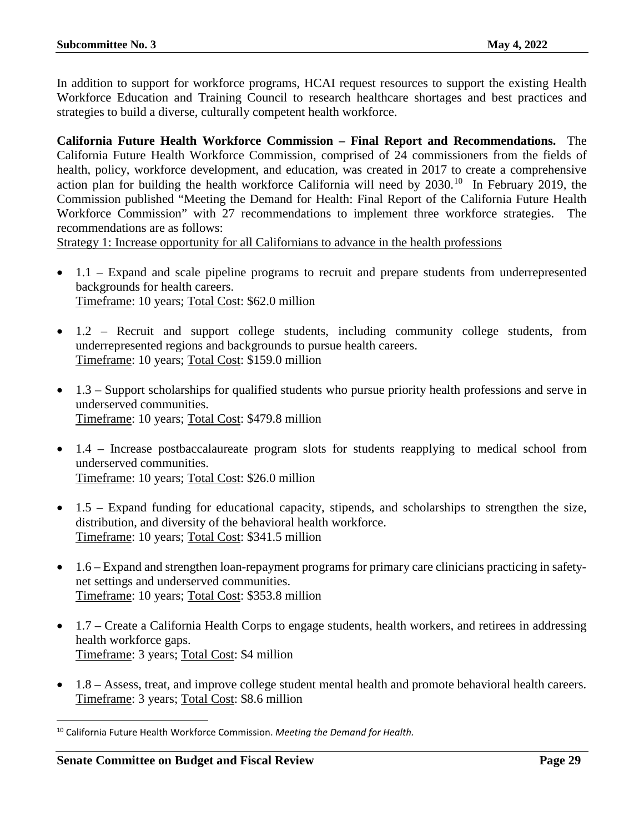In addition to support for workforce programs, HCAI request resources to support the existing Health Workforce Education and Training Council to research healthcare shortages and best practices and strategies to build a diverse, culturally competent health workforce.

**California Future Health Workforce Commission – Final Report and Recommendations.** The California Future Health Workforce Commission, comprised of 24 commissioners from the fields of health, policy, workforce development, and education, was created in 2017 to create a comprehensive action plan for building the health workforce California will need by  $2030$ .<sup>[10](#page-28-0)</sup> In February 2019, the Commission published "Meeting the Demand for Health: Final Report of the California Future Health Workforce Commission" with 27 recommendations to implement three workforce strategies. recommendations are as follows:

Strategy 1: Increase opportunity for all Californians to advance in the health professions

- 1.1 Expand and scale pipeline programs to recruit and prepare students from underrepresented backgrounds for health careers. Timeframe: 10 years; Total Cost: \$62.0 million
- 1.2 Recruit and support college students, including community college students, from underrepresented regions and backgrounds to pursue health careers. Timeframe: 10 years; Total Cost: \$159.0 million
- 1.3 Support scholarships for qualified students who pursue priority health professions and serve in underserved communities. Timeframe: 10 years; Total Cost: \$479.8 million
- 1.4 Increase postbaccalaureate program slots for students reapplying to medical school from underserved communities. Timeframe: 10 years; Total Cost: \$26.0 million
- 1.5 Expand funding for educational capacity, stipends, and scholarships to strengthen the size, distribution, and diversity of the behavioral health workforce. Timeframe: 10 years; Total Cost: \$341.5 million
- 1.6 Expand and strengthen loan-repayment programs for primary care clinicians practicing in safetynet settings and underserved communities. Timeframe: 10 years; Total Cost: \$353.8 million
- 1.7 Create a California Health Corps to engage students, health workers, and retirees in addressing health workforce gaps. Timeframe: 3 years; Total Cost: \$4 million
- 1.8 Assess, treat, and improve college student mental health and promote behavioral health careers. Timeframe: 3 years; Total Cost: \$8.6 million

<span id="page-28-0"></span> <sup>10</sup> California Future Health Workforce Commission. *Meeting the Demand for Health.*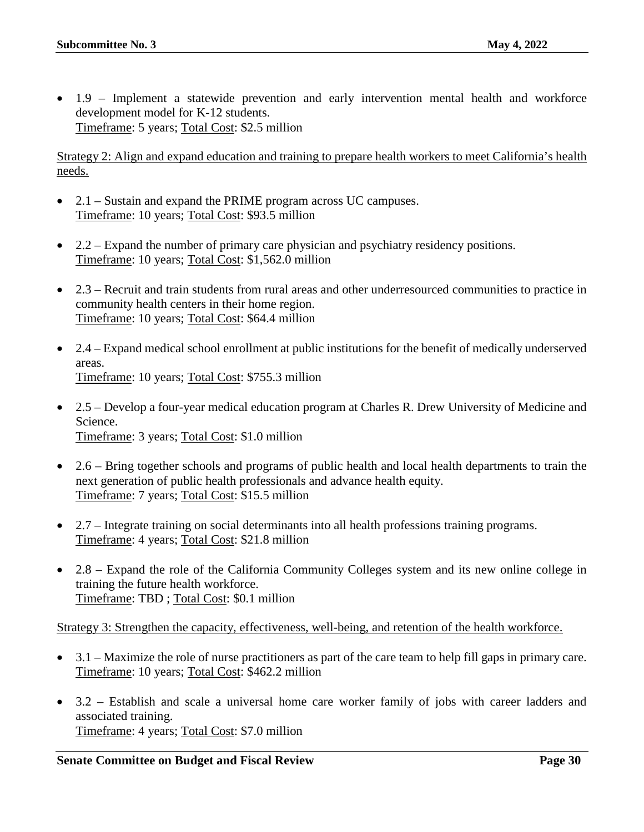• 1.9 – Implement a statewide prevention and early intervention mental health and workforce development model for K-12 students. Timeframe: 5 years; Total Cost: \$2.5 million

Strategy 2: Align and expand education and training to prepare health workers to meet California's health needs.

- 2.1 Sustain and expand the PRIME program across UC campuses. Timeframe: 10 years; Total Cost: \$93.5 million
- 2.2 Expand the number of primary care physician and psychiatry residency positions. Timeframe: 10 years; Total Cost: \$1,562.0 million
- 2.3 Recruit and train students from rural areas and other underresourced communities to practice in community health centers in their home region. Timeframe: 10 years; Total Cost: \$64.4 million
- 2.4 Expand medical school enrollment at public institutions for the benefit of medically underserved areas. Timeframe: 10 years; Total Cost: \$755.3 million
- 2.5 Develop a four-year medical education program at Charles R. Drew University of Medicine and Science. Timeframe: 3 years; Total Cost: \$1.0 million
- 2.6 Bring together schools and programs of public health and local health departments to train the next generation of public health professionals and advance health equity. Timeframe: 7 years; Total Cost: \$15.5 million
- 2.7 Integrate training on social determinants into all health professions training programs. Timeframe: 4 years; Total Cost: \$21.8 million
- 2.8 Expand the role of the California Community Colleges system and its new online college in training the future health workforce. Timeframe: TBD ; Total Cost: \$0.1 million

Strategy 3: Strengthen the capacity, effectiveness, well-being, and retention of the health workforce.

- 3.1 Maximize the role of nurse practitioners as part of the care team to help fill gaps in primary care. Timeframe: 10 years; Total Cost: \$462.2 million
- 3.2 Establish and scale a universal home care worker family of jobs with career ladders and associated training. Timeframe: 4 years; Total Cost: \$7.0 million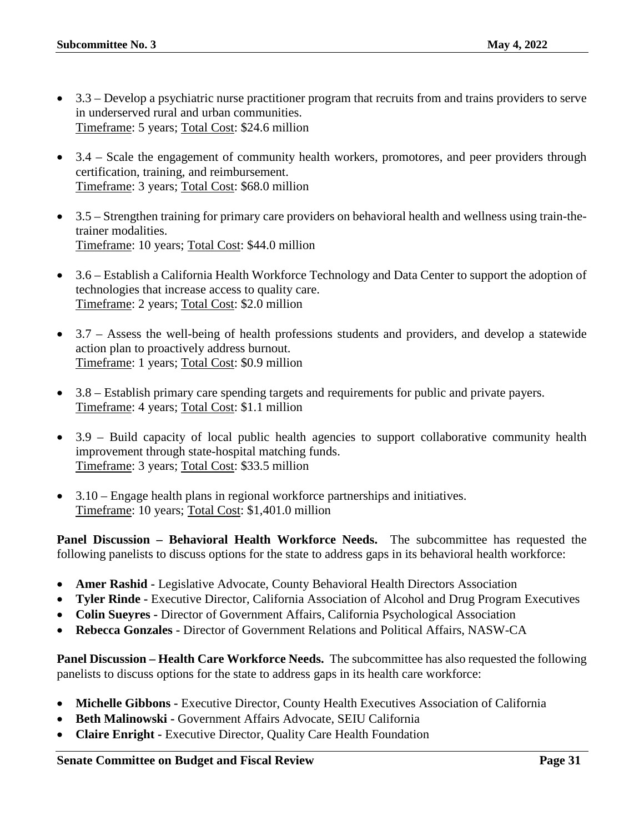- 3.3 Develop a psychiatric nurse practitioner program that recruits from and trains providers to serve in underserved rural and urban communities. Timeframe: 5 years; Total Cost: \$24.6 million
- 3.4 Scale the engagement of community health workers, promotores, and peer providers through certification, training, and reimbursement. Timeframe: 3 years; Total Cost: \$68.0 million
- 3.5 Strengthen training for primary care providers on behavioral health and wellness using train-thetrainer modalities. Timeframe: 10 years; Total Cost: \$44.0 million
- 3.6 Establish a California Health Workforce Technology and Data Center to support the adoption of technologies that increase access to quality care. Timeframe: 2 years; Total Cost: \$2.0 million
- 3.7 Assess the well-being of health professions students and providers, and develop a statewide action plan to proactively address burnout. Timeframe: 1 years; Total Cost: \$0.9 million
- 3.8 Establish primary care spending targets and requirements for public and private payers. Timeframe: 4 years; Total Cost: \$1.1 million
- 3.9 Build capacity of local public health agencies to support collaborative community health improvement through state-hospital matching funds. Timeframe: 3 years; Total Cost: \$33.5 million
- 3.10 Engage health plans in regional workforce partnerships and initiatives. Timeframe: 10 years; Total Cost: \$1,401.0 million

**Panel Discussion – Behavioral Health Workforce Needs.** The subcommittee has requested the following panelists to discuss options for the state to address gaps in its behavioral health workforce:

- **Amer Rashid -** Legislative Advocate, County Behavioral Health Directors Association
- **Tyler Rinde -** Executive Director, California Association of Alcohol and Drug Program Executives
- **Colin Sueyres -** Director of Government Affairs, California Psychological Association
- **Rebecca Gonzales -** Director of Government Relations and Political Affairs, NASW-CA

**Panel Discussion – Health Care Workforce Needs.** The subcommittee has also requested the following panelists to discuss options for the state to address gaps in its health care workforce:

- **Michelle Gibbons -** Executive Director, County Health Executives Association of California
- **Beth Malinowski -** Government Affairs Advocate, SEIU California
- **Claire Enright -** Executive Director, Quality Care Health Foundation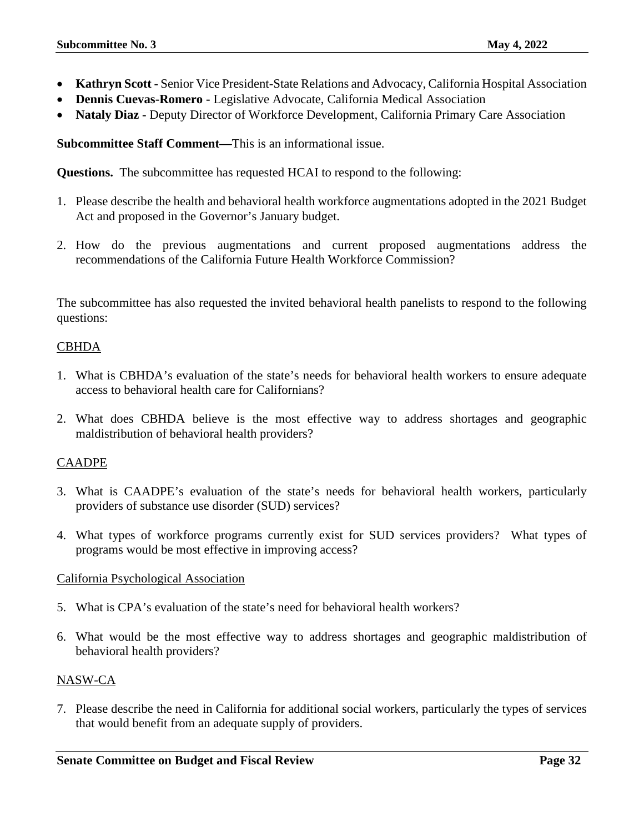- **Kathryn Scott -** Senior Vice President-State Relations and Advocacy, California Hospital Association
- **Dennis Cuevas-Romero -** Legislative Advocate, California Medical Association
- **Nataly Diaz -** Deputy Director of Workforce Development, California Primary Care Association

**Subcommittee Staff Comment—**This is an informational issue.

**Questions.** The subcommittee has requested HCAI to respond to the following:

- 1. Please describe the health and behavioral health workforce augmentations adopted in the 2021 Budget Act and proposed in the Governor's January budget.
- 2. How do the previous augmentations and current proposed augmentations address the recommendations of the California Future Health Workforce Commission?

The subcommittee has also requested the invited behavioral health panelists to respond to the following questions:

#### CBHDA

- 1. What is CBHDA's evaluation of the state's needs for behavioral health workers to ensure adequate access to behavioral health care for Californians?
- 2. What does CBHDA believe is the most effective way to address shortages and geographic maldistribution of behavioral health providers?

#### CAADPE

- 3. What is CAADPE's evaluation of the state's needs for behavioral health workers, particularly providers of substance use disorder (SUD) services?
- 4. What types of workforce programs currently exist for SUD services providers? What types of programs would be most effective in improving access?

#### California Psychological Association

- 5. What is CPA's evaluation of the state's need for behavioral health workers?
- 6. What would be the most effective way to address shortages and geographic maldistribution of behavioral health providers?

#### NASW-CA

7. Please describe the need in California for additional social workers, particularly the types of services that would benefit from an adequate supply of providers.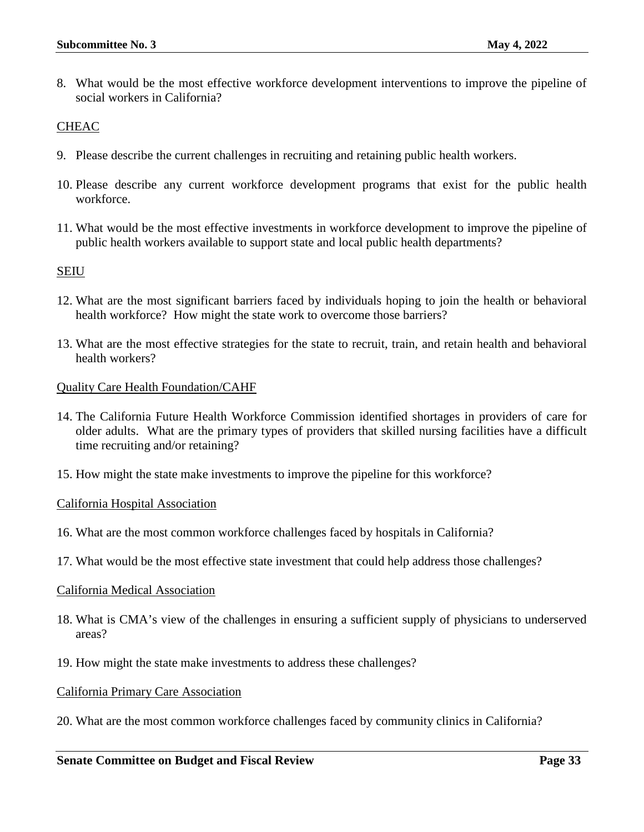8. What would be the most effective workforce development interventions to improve the pipeline of social workers in California?

#### **CHEAC**

- 9. Please describe the current challenges in recruiting and retaining public health workers.
- 10. Please describe any current workforce development programs that exist for the public health workforce.
- 11. What would be the most effective investments in workforce development to improve the pipeline of public health workers available to support state and local public health departments?

#### SEIU

- 12. What are the most significant barriers faced by individuals hoping to join the health or behavioral health workforce? How might the state work to overcome those barriers?
- 13. What are the most effective strategies for the state to recruit, train, and retain health and behavioral health workers?

#### Quality Care Health Foundation/CAHF

- 14. The California Future Health Workforce Commission identified shortages in providers of care for older adults. What are the primary types of providers that skilled nursing facilities have a difficult time recruiting and/or retaining?
- 15. How might the state make investments to improve the pipeline for this workforce?

#### California Hospital Association

- 16. What are the most common workforce challenges faced by hospitals in California?
- 17. What would be the most effective state investment that could help address those challenges?

#### California Medical Association

- 18. What is CMA's view of the challenges in ensuring a sufficient supply of physicians to underserved areas?
- 19. How might the state make investments to address these challenges?

#### California Primary Care Association

20. What are the most common workforce challenges faced by community clinics in California?